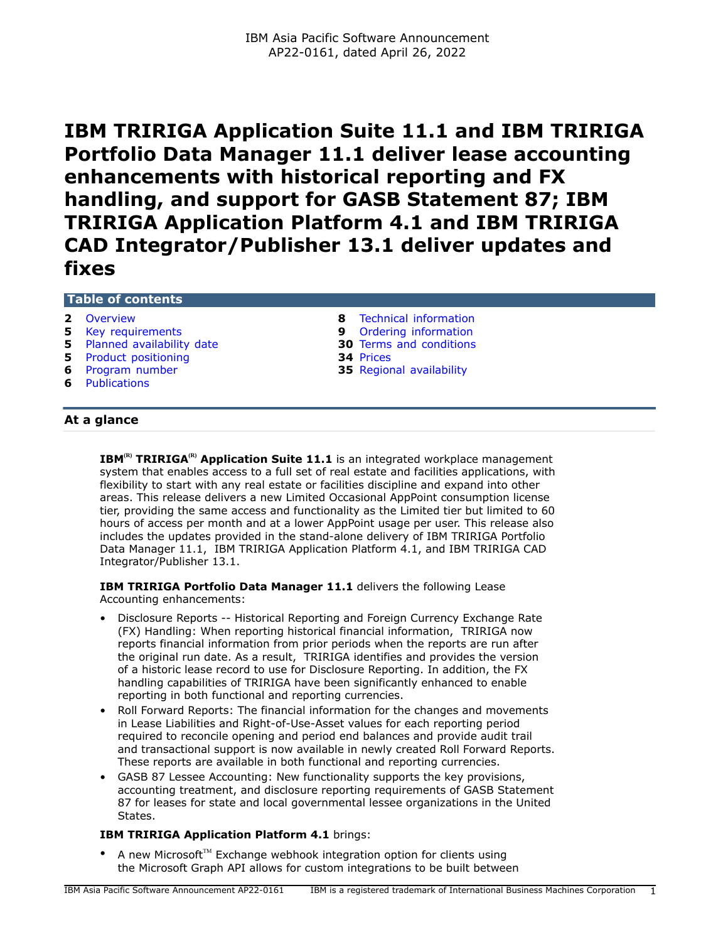**IBM TRIRIGA Application Suite 11.1 and IBM TRIRIGA Portfolio Data Manager 11.1 deliver lease accounting enhancements with historical reporting and FX handling, and support for GASB Statement 87; IBM TRIRIGA Application Platform 4.1 and IBM TRIRIGA CAD Integrator/Publisher 13.1 deliver updates and fixes**

# **Table of contents**

- 
- 
- **5** [Planned availability date](#page-4-1) **30** [Terms and conditions](#page-29-0)
- **5** [Product positioning](#page-4-2) **34** [Prices](#page-33-0)<br> **6** Program number **35** Region
- 
- **6** [Publications](#page-5-1)
- **2** [Overview](#page-1-0) **8** [Technical information](#page-7-0) **5** [Key requirements](#page-4-0) **9** [Ordering information](#page-8-0)
	-
	- **35** [Regional availability](#page-34-0)

# **At a glance**

**IBM**<sup>(R)</sup> **TRIRIGA**<sup>(R)</sup> **Application Suite 11.1** is an integrated workplace management system that enables access to a full set of real estate and facilities applications, with flexibility to start with any real estate or facilities discipline and expand into other areas. This release delivers a new Limited Occasional AppPoint consumption license tier, providing the same access and functionality as the Limited tier but limited to 60 hours of access per month and at a lower AppPoint usage per user. This release also includes the updates provided in the stand-alone delivery of IBM TRIRIGA Portfolio Data Manager 11.1, IBM TRIRIGA Application Platform 4.1, and IBM TRIRIGA CAD Integrator/Publisher 13.1.

**IBM TRIRIGA Portfolio Data Manager 11.1** delivers the following Lease Accounting enhancements:

- Disclosure Reports -- Historical Reporting and Foreign Currency Exchange Rate (FX) Handling: When reporting historical financial information, TRIRIGA now reports financial information from prior periods when the reports are run after the original run date. As a result, TRIRIGA identifies and provides the version of a historic lease record to use for Disclosure Reporting. In addition, the FX handling capabilities of TRIRIGA have been significantly enhanced to enable reporting in both functional and reporting currencies.
- Roll Forward Reports: The financial information for the changes and movements in Lease Liabilities and Right-of-Use-Asset values for each reporting period required to reconcile opening and period end balances and provide audit trail and transactional support is now available in newly created Roll Forward Reports. These reports are available in both functional and reporting currencies.
- GASB 87 Lessee Accounting: New functionality supports the key provisions, accounting treatment, and disclosure reporting requirements of GASB Statement 87 for leases for state and local governmental lessee organizations in the United States.

# **IBM TRIRIGA Application Platform 4.1** brings:

A new Microsoft™ Exchange webhook integration option for clients using the Microsoft Graph API allows for custom integrations to be built between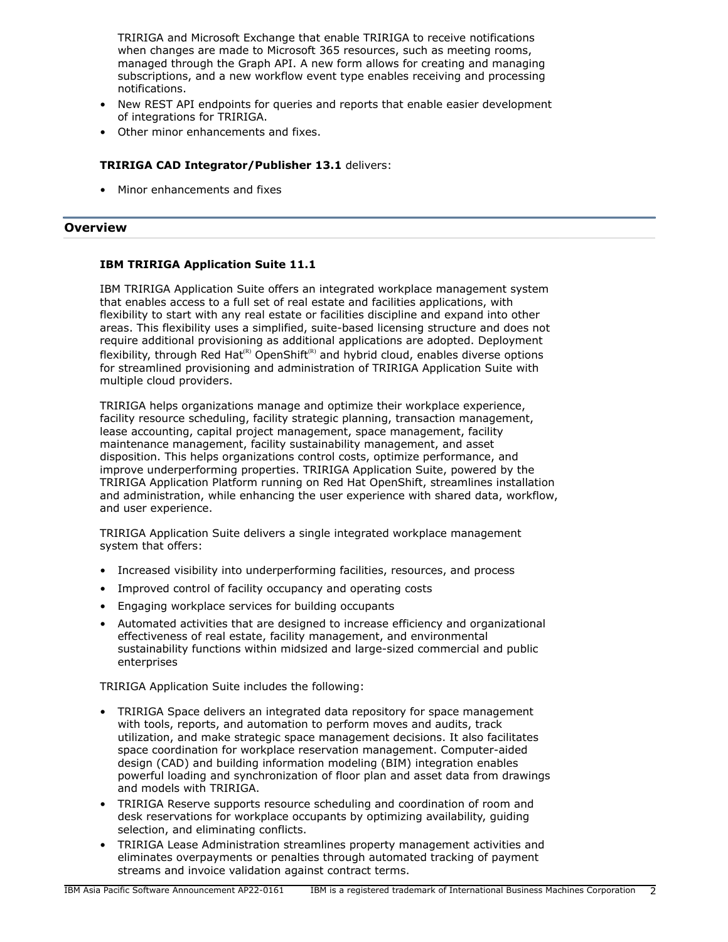TRIRIGA and Microsoft Exchange that enable TRIRIGA to receive notifications when changes are made to Microsoft 365 resources, such as meeting rooms, managed through the Graph API. A new form allows for creating and managing subscriptions, and a new workflow event type enables receiving and processing notifications.

- New REST API endpoints for queries and reports that enable easier development of integrations for TRIRIGA.
- Other minor enhancements and fixes.

# **TRIRIGA CAD Integrator/Publisher 13.1** delivers:

• Minor enhancements and fixes

# <span id="page-1-0"></span>**Overview**

# **IBM TRIRIGA Application Suite 11.1**

IBM TRIRIGA Application Suite offers an integrated workplace management system that enables access to a full set of real estate and facilities applications, with flexibility to start with any real estate or facilities discipline and expand into other areas. This flexibility uses a simplified, suite-based licensing structure and does not require additional provisioning as additional applications are adopted. Deployment flexibility, through Red Hat<sup>(R)</sup> OpenShift<sup>(R)</sup> and hybrid cloud, enables diverse options for streamlined provisioning and administration of TRIRIGA Application Suite with multiple cloud providers.

TRIRIGA helps organizations manage and optimize their workplace experience, facility resource scheduling, facility strategic planning, transaction management, lease accounting, capital project management, space management, facility maintenance management, facility sustainability management, and asset disposition. This helps organizations control costs, optimize performance, and improve underperforming properties. TRIRIGA Application Suite, powered by the TRIRIGA Application Platform running on Red Hat OpenShift, streamlines installation and administration, while enhancing the user experience with shared data, workflow, and user experience.

TRIRIGA Application Suite delivers a single integrated workplace management system that offers:

- Increased visibility into underperforming facilities, resources, and process
- Improved control of facility occupancy and operating costs
- Engaging workplace services for building occupants
- Automated activities that are designed to increase efficiency and organizational effectiveness of real estate, facility management, and environmental sustainability functions within midsized and large-sized commercial and public enterprises

TRIRIGA Application Suite includes the following:

- TRIRIGA Space delivers an integrated data repository for space management with tools, reports, and automation to perform moves and audits, track utilization, and make strategic space management decisions. It also facilitates space coordination for workplace reservation management. Computer-aided design (CAD) and building information modeling (BIM) integration enables powerful loading and synchronization of floor plan and asset data from drawings and models with TRIRIGA.
- TRIRIGA Reserve supports resource scheduling and coordination of room and desk reservations for workplace occupants by optimizing availability, guiding selection, and eliminating conflicts.
- TRIRIGA Lease Administration streamlines property management activities and eliminates overpayments or penalties through automated tracking of payment streams and invoice validation against contract terms.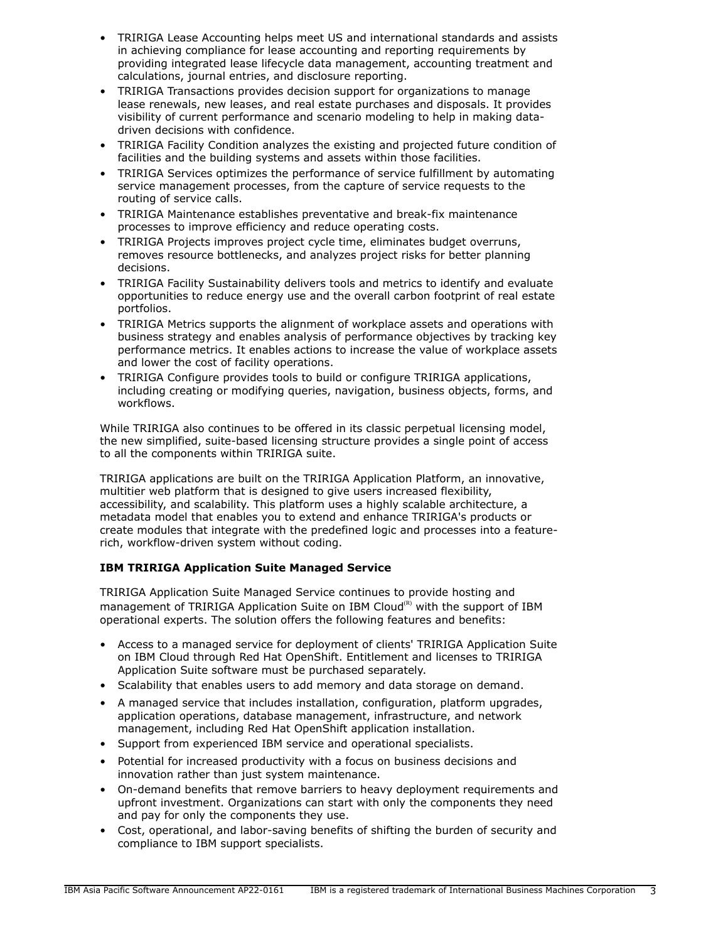- TRIRIGA Lease Accounting helps meet US and international standards and assists in achieving compliance for lease accounting and reporting requirements by providing integrated lease lifecycle data management, accounting treatment and calculations, journal entries, and disclosure reporting.
- TRIRIGA Transactions provides decision support for organizations to manage lease renewals, new leases, and real estate purchases and disposals. It provides visibility of current performance and scenario modeling to help in making datadriven decisions with confidence.
- TRIRIGA Facility Condition analyzes the existing and projected future condition of facilities and the building systems and assets within those facilities.
- TRIRIGA Services optimizes the performance of service fulfillment by automating service management processes, from the capture of service requests to the routing of service calls.
- TRIRIGA Maintenance establishes preventative and break-fix maintenance processes to improve efficiency and reduce operating costs.
- TRIRIGA Projects improves project cycle time, eliminates budget overruns, removes resource bottlenecks, and analyzes project risks for better planning decisions.
- TRIRIGA Facility Sustainability delivers tools and metrics to identify and evaluate opportunities to reduce energy use and the overall carbon footprint of real estate portfolios.
- TRIRIGA Metrics supports the alignment of workplace assets and operations with business strategy and enables analysis of performance objectives by tracking key performance metrics. It enables actions to increase the value of workplace assets and lower the cost of facility operations.
- TRIRIGA Configure provides tools to build or configure TRIRIGA applications, including creating or modifying queries, navigation, business objects, forms, and workflows.

While TRIRIGA also continues to be offered in its classic perpetual licensing model, the new simplified, suite-based licensing structure provides a single point of access to all the components within TRIRIGA suite.

TRIRIGA applications are built on the TRIRIGA Application Platform, an innovative, multitier web platform that is designed to give users increased flexibility, accessibility, and scalability. This platform uses a highly scalable architecture, a metadata model that enables you to extend and enhance TRIRIGA's products or create modules that integrate with the predefined logic and processes into a featurerich, workflow-driven system without coding.

# **IBM TRIRIGA Application Suite Managed Service**

TRIRIGA Application Suite Managed Service continues to provide hosting and management of TRIRIGA Application Suite on IBM Cloud $<sup>(R)</sup>$  with the support of IBM</sup> operational experts. The solution offers the following features and benefits:

- Access to a managed service for deployment of clients' TRIRIGA Application Suite on IBM Cloud through Red Hat OpenShift. Entitlement and licenses to TRIRIGA Application Suite software must be purchased separately.
- Scalability that enables users to add memory and data storage on demand.
- A managed service that includes installation, configuration, platform upgrades, application operations, database management, infrastructure, and network management, including Red Hat OpenShift application installation.
- Support from experienced IBM service and operational specialists.
- Potential for increased productivity with a focus on business decisions and innovation rather than just system maintenance.
- On-demand benefits that remove barriers to heavy deployment requirements and upfront investment. Organizations can start with only the components they need and pay for only the components they use.
- Cost, operational, and labor-saving benefits of shifting the burden of security and compliance to IBM support specialists.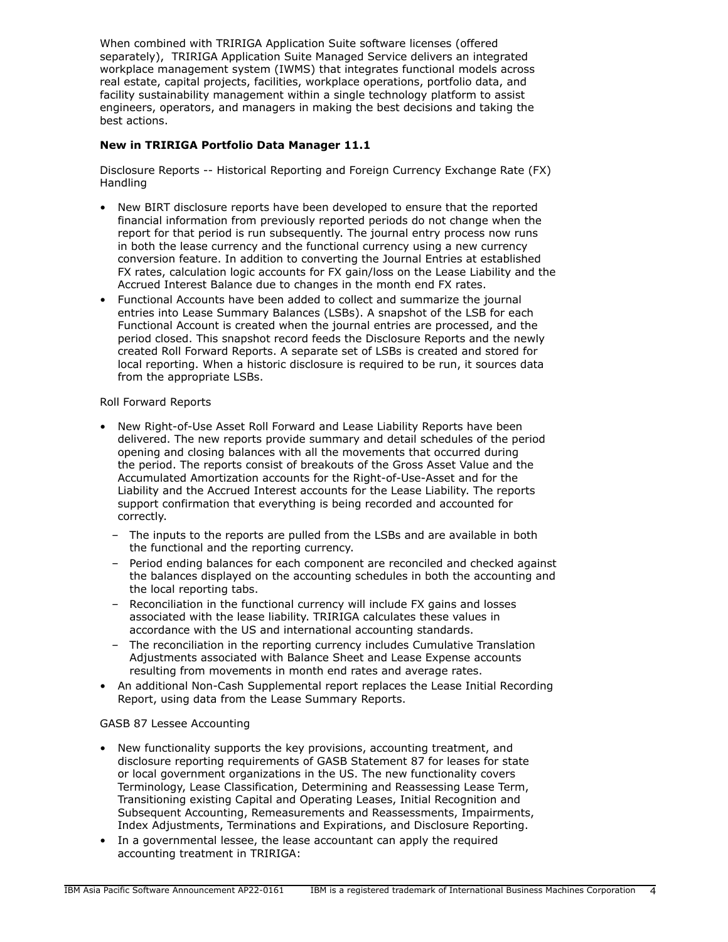When combined with TRIRIGA Application Suite software licenses (offered separately), TRIRIGA Application Suite Managed Service delivers an integrated workplace management system (IWMS) that integrates functional models across real estate, capital projects, facilities, workplace operations, portfolio data, and facility sustainability management within a single technology platform to assist engineers, operators, and managers in making the best decisions and taking the best actions.

# **New in TRIRIGA Portfolio Data Manager 11.1**

Disclosure Reports -- Historical Reporting and Foreign Currency Exchange Rate (FX) Handling

- New BIRT disclosure reports have been developed to ensure that the reported financial information from previously reported periods do not change when the report for that period is run subsequently. The journal entry process now runs in both the lease currency and the functional currency using a new currency conversion feature. In addition to converting the Journal Entries at established FX rates, calculation logic accounts for FX gain/loss on the Lease Liability and the Accrued Interest Balance due to changes in the month end FX rates.
- Functional Accounts have been added to collect and summarize the journal entries into Lease Summary Balances (LSBs). A snapshot of the LSB for each Functional Account is created when the journal entries are processed, and the period closed. This snapshot record feeds the Disclosure Reports and the newly created Roll Forward Reports. A separate set of LSBs is created and stored for local reporting. When a historic disclosure is required to be run, it sources data from the appropriate LSBs.

## Roll Forward Reports

- New Right-of-Use Asset Roll Forward and Lease Liability Reports have been delivered. The new reports provide summary and detail schedules of the period opening and closing balances with all the movements that occurred during the period. The reports consist of breakouts of the Gross Asset Value and the Accumulated Amortization accounts for the Right-of-Use-Asset and for the Liability and the Accrued Interest accounts for the Lease Liability. The reports support confirmation that everything is being recorded and accounted for correctly.
	- The inputs to the reports are pulled from the LSBs and are available in both the functional and the reporting currency.
	- Period ending balances for each component are reconciled and checked against the balances displayed on the accounting schedules in both the accounting and the local reporting tabs.
	- Reconciliation in the functional currency will include FX gains and losses associated with the lease liability. TRIRIGA calculates these values in accordance with the US and international accounting standards.
	- The reconciliation in the reporting currency includes Cumulative Translation Adjustments associated with Balance Sheet and Lease Expense accounts resulting from movements in month end rates and average rates.
- An additional Non-Cash Supplemental report replaces the Lease Initial Recording Report, using data from the Lease Summary Reports.

## GASB 87 Lessee Accounting

- New functionality supports the key provisions, accounting treatment, and disclosure reporting requirements of GASB Statement 87 for leases for state or local government organizations in the US. The new functionality covers Terminology, Lease Classification, Determining and Reassessing Lease Term, Transitioning existing Capital and Operating Leases, Initial Recognition and Subsequent Accounting, Remeasurements and Reassessments, Impairments, Index Adjustments, Terminations and Expirations, and Disclosure Reporting.
- In a governmental lessee, the lease accountant can apply the required accounting treatment in TRIRIGA: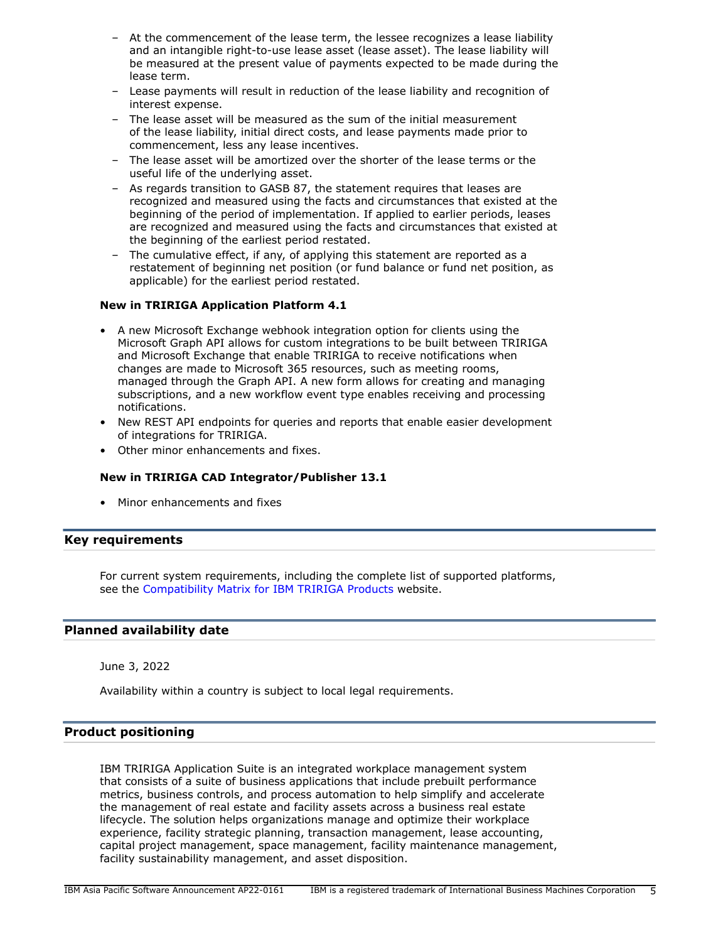- At the commencement of the lease term, the lessee recognizes a lease liability and an intangible right-to-use lease asset (lease asset). The lease liability will be measured at the present value of payments expected to be made during the lease term.
- Lease payments will result in reduction of the lease liability and recognition of interest expense.
- The lease asset will be measured as the sum of the initial measurement of the lease liability, initial direct costs, and lease payments made prior to commencement, less any lease incentives.
- The lease asset will be amortized over the shorter of the lease terms or the useful life of the underlying asset.
- As regards transition to GASB 87, the statement requires that leases are recognized and measured using the facts and circumstances that existed at the beginning of the period of implementation. If applied to earlier periods, leases are recognized and measured using the facts and circumstances that existed at the beginning of the earliest period restated.
- The cumulative effect, if any, of applying this statement are reported as a restatement of beginning net position (or fund balance or fund net position, as applicable) for the earliest period restated.

# **New in TRIRIGA Application Platform 4.1**

- A new Microsoft Exchange webhook integration option for clients using the Microsoft Graph API allows for custom integrations to be built between TRIRIGA and Microsoft Exchange that enable TRIRIGA to receive notifications when changes are made to Microsoft 365 resources, such as meeting rooms, managed through the Graph API. A new form allows for creating and managing subscriptions, and a new workflow event type enables receiving and processing notifications.
- New REST API endpoints for queries and reports that enable easier development of integrations for TRIRIGA.
- Other minor enhancements and fixes.

# **New in TRIRIGA CAD Integrator/Publisher 13.1**

• Minor enhancements and fixes

# <span id="page-4-0"></span>**Key requirements**

For current system requirements, including the complete list of supported platforms, see the [Compatibility Matrix for IBM TRIRIGA Products](https://www.ibm.com/support/pages/node/1283650) website.

## <span id="page-4-1"></span>**Planned availability date**

June 3, 2022

Availability within a country is subject to local legal requirements.

# <span id="page-4-2"></span>**Product positioning**

IBM TRIRIGA Application Suite is an integrated workplace management system that consists of a suite of business applications that include prebuilt performance metrics, business controls, and process automation to help simplify and accelerate the management of real estate and facility assets across a business real estate lifecycle. The solution helps organizations manage and optimize their workplace experience, facility strategic planning, transaction management, lease accounting, capital project management, space management, facility maintenance management, facility sustainability management, and asset disposition.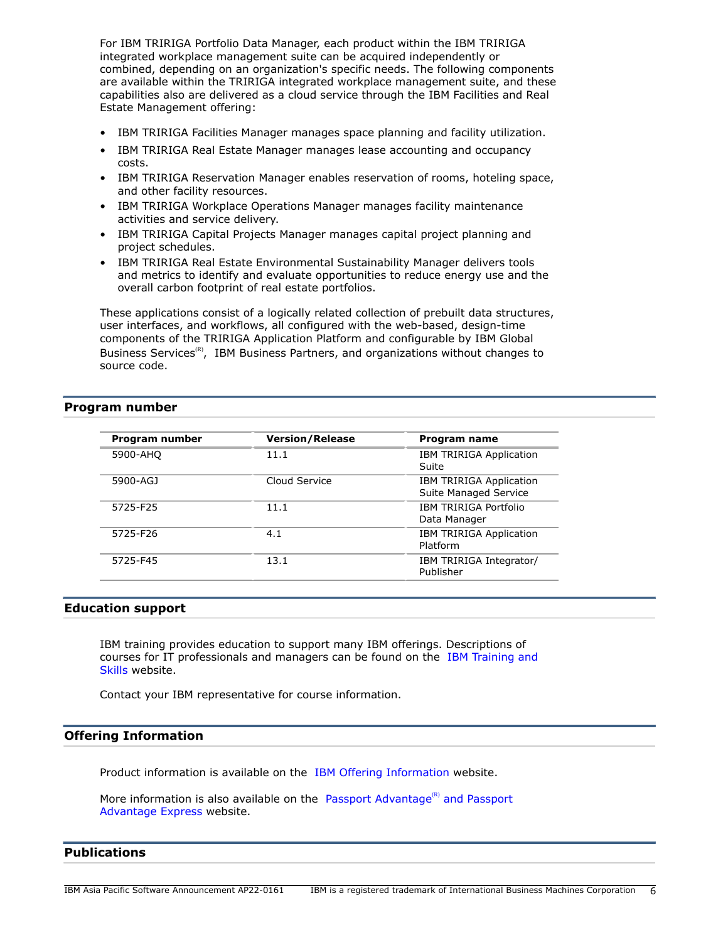For IBM TRIRIGA Portfolio Data Manager, each product within the IBM TRIRIGA integrated workplace management suite can be acquired independently or combined, depending on an organization's specific needs. The following components are available within the TRIRIGA integrated workplace management suite, and these capabilities also are delivered as a cloud service through the IBM Facilities and Real Estate Management offering:

- IBM TRIRIGA Facilities Manager manages space planning and facility utilization.
- IBM TRIRIGA Real Estate Manager manages lease accounting and occupancy costs.
- IBM TRIRIGA Reservation Manager enables reservation of rooms, hoteling space, and other facility resources.
- IBM TRIRIGA Workplace Operations Manager manages facility maintenance activities and service delivery.
- IBM TRIRIGA Capital Projects Manager manages capital project planning and project schedules.
- IBM TRIRIGA Real Estate Environmental Sustainability Manager delivers tools and metrics to identify and evaluate opportunities to reduce energy use and the overall carbon footprint of real estate portfolios.

These applications consist of a logically related collection of prebuilt data structures, user interfaces, and workflows, all configured with the web-based, design-time components of the TRIRIGA Application Platform and configurable by IBM Global Business Services<sup>(R)</sup>, IBM Business Partners, and organizations without changes to source code.

# <span id="page-5-0"></span>**Program number**

| Program number | <b>Version/Release</b> | Program name                                            |
|----------------|------------------------|---------------------------------------------------------|
| 5900-AHQ       | 11.1                   | IBM TRIRIGA Application<br>Suite                        |
| 5900-AGJ       | Cloud Service          | <b>IBM TRIRIGA Application</b><br>Suite Managed Service |
| 5725-F25       | 11.1                   | IBM TRIRIGA Portfolio<br>Data Manager                   |
| 5725-F26       | 4.1                    | <b>IBM TRIRIGA Application</b><br>Platform              |
| 5725-F45       | 13.1                   | IBM TRIRIGA Integrator/<br>Publisher                    |

## **Education support**

IBM training provides education to support many IBM offerings. Descriptions of courses for IT professionals and managers can be found on the [IBM Training and](http://www.ibm.com/services/learning/) [Skills](http://www.ibm.com/services/learning/) website.

Contact your IBM representative for course information.

## **Offering Information**

Product information is available on the [IBM Offering Information](http://www.ibm.com/common/ssi) website.

More information is also available on the [Passport Advantage](http://www.ibm.com/software/passportadvantage) $<sup>(R)</sup>$  and Passport</sup> [Advantage Express](http://www.ibm.com/software/passportadvantage) website.

# <span id="page-5-1"></span>**Publications**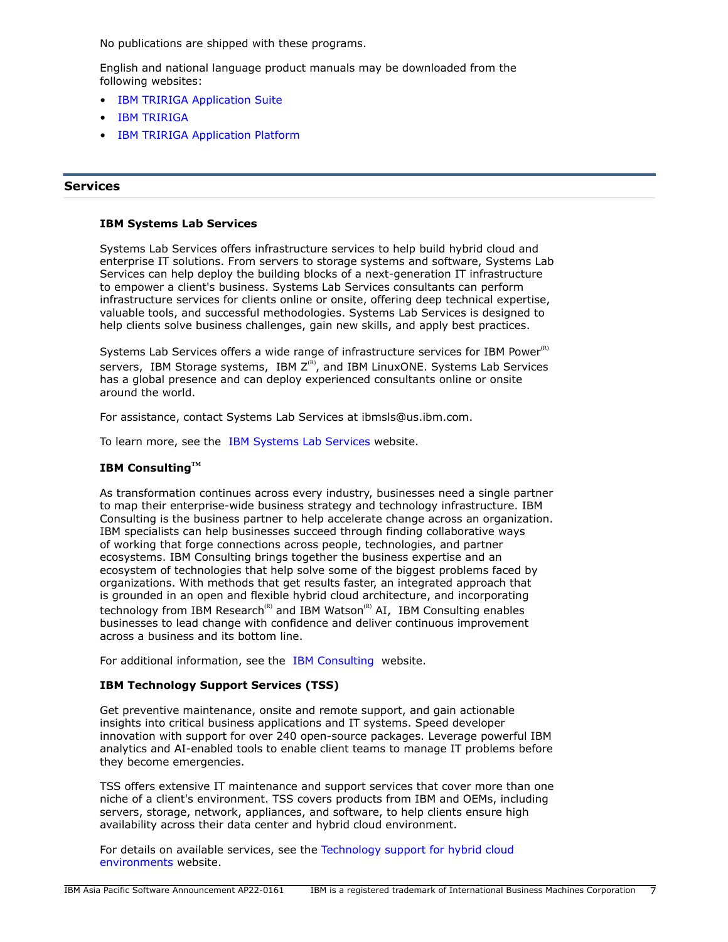No publications are shipped with these programs.

English and national language product manuals may be downloaded from the following websites:

- **[IBM TRIRIGA Application Suite](https://www.ibm.com/docs/en/tas)**
- [IBM TRIRIGA](https://www.ibm.com/docs/en/tririga)
- [IBM TRIRIGA Application Platform](https://www.ibm.com/docs/en/tap)

# **Services**

## **IBM Systems Lab Services**

Systems Lab Services offers infrastructure services to help build hybrid cloud and enterprise IT solutions. From servers to storage systems and software, Systems Lab Services can help deploy the building blocks of a next-generation IT infrastructure to empower a client's business. Systems Lab Services consultants can perform infrastructure services for clients online or onsite, offering deep technical expertise, valuable tools, and successful methodologies. Systems Lab Services is designed to help clients solve business challenges, gain new skills, and apply best practices.

Systems Lab Services offers a wide range of infrastructure services for IBM Power $R$ ) servers, IBM Storage systems, IBM  $Z^{(R)}$ , and IBM LinuxONE. Systems Lab Services has a global presence and can deploy experienced consultants online or onsite around the world.

For assistance, contact Systems Lab Services at ibmsls@us.ibm.com.

To learn more, see the [IBM Systems Lab Services](https://www.ibm.com/it-infrastructure/services/lab-services) website.

# **IBM ConsultingTM**

As transformation continues across every industry, businesses need a single partner to map their enterprise-wide business strategy and technology infrastructure. IBM Consulting is the business partner to help accelerate change across an organization. IBM specialists can help businesses succeed through finding collaborative ways of working that forge connections across people, technologies, and partner ecosystems. IBM Consulting brings together the business expertise and an ecosystem of technologies that help solve some of the biggest problems faced by organizations. With methods that get results faster, an integrated approach that is grounded in an open and flexible hybrid cloud architecture, and incorporating technology from IBM Research<sup>(R)</sup> and IBM Watson<sup>(R)</sup> AI, IBM Consulting enables businesses to lead change with confidence and deliver continuous improvement across a business and its bottom line.

For additional information, see the [IBM Consulting](https://www.ibm.com/consulting) website.

## **IBM Technology Support Services (TSS)**

Get preventive maintenance, onsite and remote support, and gain actionable insights into critical business applications and IT systems. Speed developer innovation with support for over 240 open-source packages. Leverage powerful IBM analytics and AI-enabled tools to enable client teams to manage IT problems before they become emergencies.

TSS offers extensive IT maintenance and support services that cover more than one niche of a client's environment. TSS covers products from IBM and OEMs, including servers, storage, network, appliances, and software, to help clients ensure high availability across their data center and hybrid cloud environment.

For details on available services, see the [Technology support for hybrid cloud](https://www.ibm.com/services/technology-support) [environments](https://www.ibm.com/services/technology-support) website.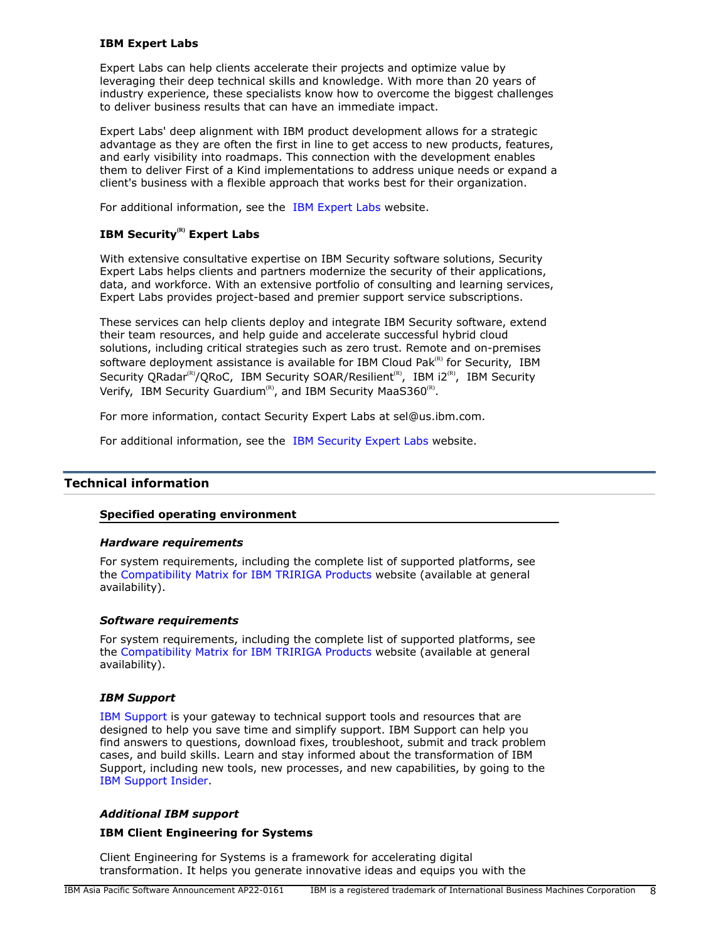# **IBM Expert Labs**

Expert Labs can help clients accelerate their projects and optimize value by leveraging their deep technical skills and knowledge. With more than 20 years of industry experience, these specialists know how to overcome the biggest challenges to deliver business results that can have an immediate impact.

Expert Labs' deep alignment with IBM product development allows for a strategic advantage as they are often the first in line to get access to new products, features, and early visibility into roadmaps. This connection with the development enables them to deliver First of a Kind implementations to address unique needs or expand a client's business with a flexible approach that works best for their organization.

For additional information, see the [IBM Expert Labs](https://www.ibm.com/products/expertlabs) website.

# **IBM Security(R) Expert Labs**

With extensive consultative expertise on IBM Security software solutions, Security Expert Labs helps clients and partners modernize the security of their applications, data, and workforce. With an extensive portfolio of consulting and learning services, Expert Labs provides project-based and premier support service subscriptions.

These services can help clients deploy and integrate IBM Security software, extend their team resources, and help guide and accelerate successful hybrid cloud solutions, including critical strategies such as zero trust. Remote and on-premises software deployment assistance is available for IBM Cloud Pak $R<sup>(R)</sup>$  for Security, IBM Security QRadar<sup>(R)</sup>/QRoC, IBM Security SOAR/Resilient<sup>(R)</sup>, IBM i2<sup>(R)</sup>, IBM Security Verify, IBM Security Guardium<sup>(R)</sup>, and IBM Security MaaS360<sup>(R)</sup>.

For more information, contact Security Expert Labs at sel@us.ibm.com.

For additional information, see the [IBM Security Expert Labs](https://www.ibm.com/security/security-expert-labs) website.

# <span id="page-7-0"></span>**Technical information**

## **Specified operating environment**

## *Hardware requirements*

For system requirements, including the complete list of supported platforms, see the [Compatibility Matrix for IBM TRIRIGA Products](https://www.ibm.com/support/pages/node/1283650) website (available at general availability).

## *Software requirements*

For system requirements, including the complete list of supported platforms, see the [Compatibility Matrix for IBM TRIRIGA Products](https://www.ibm.com/support/pages/node/1283650) website (available at general availability).

## *IBM Support*

[IBM Support](https://www.ibm.com/support) is your gateway to technical support tools and resources that are designed to help you save time and simplify support. IBM Support can help you find answers to questions, download fixes, troubleshoot, submit and track problem cases, and build skills. Learn and stay informed about the transformation of IBM Support, including new tools, new processes, and new capabilities, by going to the [IBM Support Insider](https://www.ibm.com/support/insider).

## *Additional IBM support*

## **IBM Client Engineering for Systems**

Client Engineering for Systems is a framework for accelerating digital transformation. It helps you generate innovative ideas and equips you with the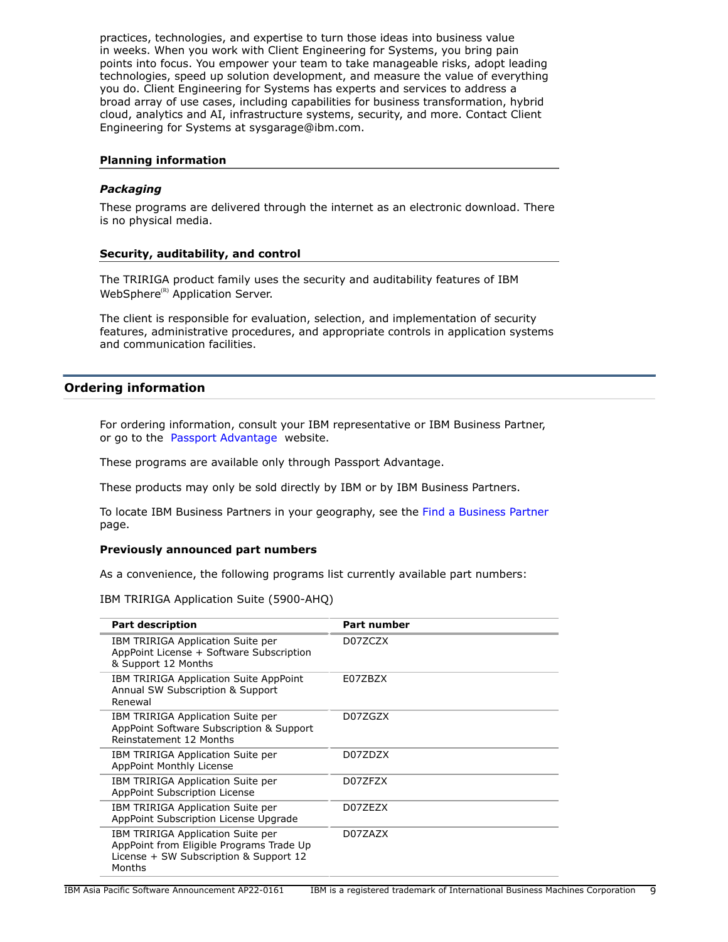practices, technologies, and expertise to turn those ideas into business value in weeks. When you work with Client Engineering for Systems, you bring pain points into focus. You empower your team to take manageable risks, adopt leading technologies, speed up solution development, and measure the value of everything you do. Client Engineering for Systems has experts and services to address a broad array of use cases, including capabilities for business transformation, hybrid cloud, analytics and AI, infrastructure systems, security, and more. Contact Client Engineering for Systems at sysgarage@ibm.com.

## **Planning information**

# *Packaging*

These programs are delivered through the internet as an electronic download. There is no physical media.

# **Security, auditability, and control**

The TRIRIGA product family uses the security and auditability features of IBM WebSphere<sup>(R)</sup> Application Server.

The client is responsible for evaluation, selection, and implementation of security features, administrative procedures, and appropriate controls in application systems and communication facilities.

# <span id="page-8-0"></span>**Ordering information**

For ordering information, consult your IBM representative or IBM Business Partner, or go to the [Passport Advantage](https://www.ibm.com/software/passportadvantage/) website.

These programs are available only through Passport Advantage.

These products may only be sold directly by IBM or by IBM Business Partners.

To locate IBM Business Partners in your geography, see the [Find a Business Partner](http://www.ibm.com/partnerworld/wps/bplocator/) page.

## **Previously announced part numbers**

As a convenience, the following programs list currently available part numbers:

IBM TRIRIGA Application Suite (5900-AHQ)

| <b>Part description</b>                                                                                                           | <b>Part number</b> |
|-----------------------------------------------------------------------------------------------------------------------------------|--------------------|
| IBM TRIRIGA Application Suite per<br>AppPoint License + Software Subscription<br>& Support 12 Months                              | D07ZCZX            |
| IBM TRIRIGA Application Suite AppPoint<br>Annual SW Subscription & Support<br>Renewal                                             | E07ZBZX            |
| IBM TRIRIGA Application Suite per<br>AppPoint Software Subscription & Support<br>Reinstatement 12 Months                          | D07ZGZX            |
| IBM TRIRIGA Application Suite per<br>AppPoint Monthly License                                                                     | D077D7X            |
| IBM TRIRIGA Application Suite per<br>AppPoint Subscription License                                                                | D07ZFZX            |
| IBM TRIRIGA Application Suite per<br>AppPoint Subscription License Upgrade                                                        | D07ZEZX            |
| IBM TRIRIGA Application Suite per<br>AppPoint from Eligible Programs Trade Up<br>License + SW Subscription & Support 12<br>Months | D07ZAZX            |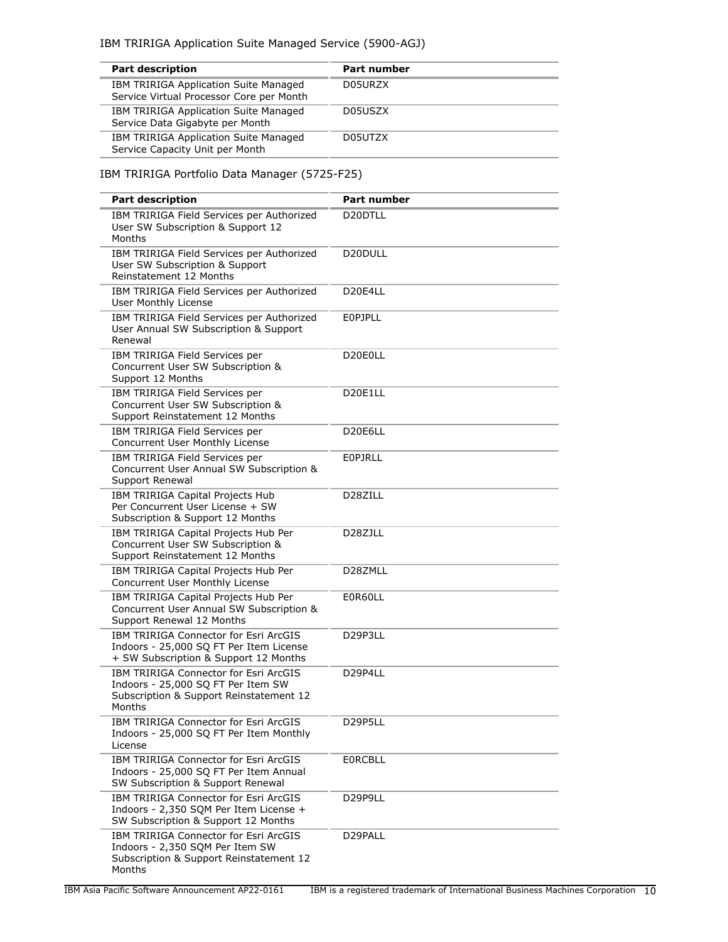| <b>Part description</b>                                                           | Part number |
|-----------------------------------------------------------------------------------|-------------|
| IBM TRIRIGA Application Suite Managed<br>Service Virtual Processor Core per Month | D05URZX     |
| IBM TRIRIGA Application Suite Managed<br>Service Data Gigabyte per Month          | D05USZX     |
| IBM TRIRIGA Application Suite Managed<br>Service Capacity Unit per Month          | D05UTZX     |

# IBM TRIRIGA Portfolio Data Manager (5725-F25)

| <b>Part description</b>                                                                                                          | Part number                       |
|----------------------------------------------------------------------------------------------------------------------------------|-----------------------------------|
| IBM TRIRIGA Field Services per Authorized<br>User SW Subscription & Support 12<br>Months                                         | D <sub>20</sub> DTLL              |
| IBM TRIRIGA Field Services per Authorized<br>User SW Subscription & Support<br>Reinstatement 12 Months                           | D20DULL                           |
| IBM TRIRIGA Field Services per Authorized<br><b>User Monthly License</b>                                                         | D <sub>20</sub> E <sub>4</sub> LL |
| IBM TRIRIGA Field Services per Authorized<br>User Annual SW Subscription & Support<br>Renewal                                    | <b>EOPJPLL</b>                    |
| IBM TRIRIGA Field Services per<br>Concurrent User SW Subscription &<br>Support 12 Months                                         | D20E0LL                           |
| IBM TRIRIGA Field Services per<br>Concurrent User SW Subscription &<br>Support Reinstatement 12 Months                           | D20E1LL                           |
| IBM TRIRIGA Field Services per<br>Concurrent User Monthly License                                                                | D20E6LL                           |
| IBM TRIRIGA Field Services per<br>Concurrent User Annual SW Subscription &<br>Support Renewal                                    | <b>EOPJRLL</b>                    |
| IBM TRIRIGA Capital Projects Hub<br>Per Concurrent User License + SW<br>Subscription & Support 12 Months                         | D287ILL                           |
| IBM TRIRIGA Capital Projects Hub Per<br>Concurrent User SW Subscription &<br>Support Reinstatement 12 Months                     | D <sub>28</sub> ZJLL              |
| IBM TRIRIGA Capital Projects Hub Per<br>Concurrent User Monthly License                                                          | D28ZMLL                           |
| IBM TRIRIGA Capital Projects Hub Per<br>Concurrent User Annual SW Subscription &<br>Support Renewal 12 Months                    | E0R60LL                           |
| IBM TRIRIGA Connector for Esri ArcGIS<br>Indoors - 25,000 SQ FT Per Item License<br>+ SW Subscription & Support 12 Months        | D29P3LL                           |
| IBM TRIRIGA Connector for Esri ArcGIS<br>Indoors - 25,000 SQ FT Per Item SW<br>Subscription & Support Reinstatement 12<br>Months | D29P4LL                           |
| IBM TRIRIGA Connector for Esri ArcGIS<br>Indoors - 25,000 SQ FT Per Item Monthly<br>License                                      | D29P5LL                           |
| IBM TRIRIGA Connector for Esri ArcGIS<br>Indoors - 25,000 SQ FT Per Item Annual<br>SW Subscription & Support Renewal             | <b>EORCBLL</b>                    |
| IBM TRIRIGA Connector for Esri ArcGIS<br>Indoors - 2,350 SQM Per Item License +<br>SW Subscription & Support 12 Months           | D29P9LL                           |
| IBM TRIRIGA Connector for Esri ArcGIS<br>Indoors - 2,350 SQM Per Item SW<br>Subscription & Support Reinstatement 12<br>Months    | D29PALL                           |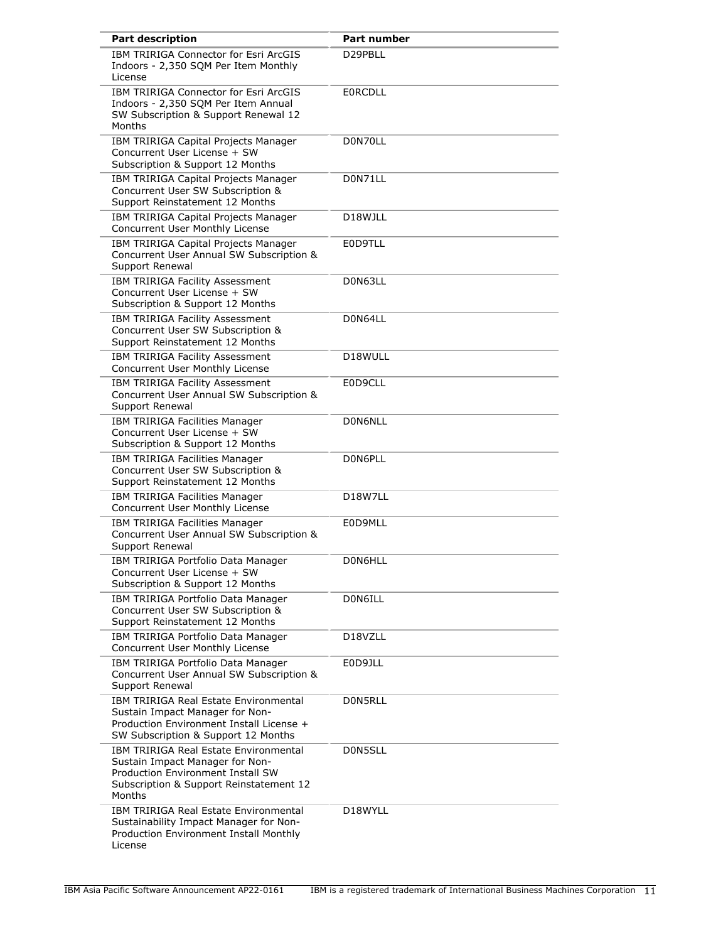| <b>Part description</b>                                                                                                                                                   | Part number          |
|---------------------------------------------------------------------------------------------------------------------------------------------------------------------------|----------------------|
| IBM TRIRIGA Connector for Esri ArcGIS<br>Indoors - 2,350 SQM Per Item Monthly<br>License                                                                                  | D29PBLL              |
| IBM TRIRIGA Connector for Esri ArcGIS<br>Indoors - 2,350 SQM Per Item Annual<br>SW Subscription & Support Renewal 12<br>Months                                            | <b>EORCDLL</b>       |
| IBM TRIRIGA Capital Projects Manager<br>Concurrent User License + SW<br>Subscription & Support 12 Months                                                                  | D0N70LL              |
| IBM TRIRIGA Capital Projects Manager<br>Concurrent User SW Subscription &<br>Support Reinstatement 12 Months                                                              | D0N71LL              |
| IBM TRIRIGA Capital Projects Manager<br>Concurrent User Monthly License                                                                                                   | D <sub>18</sub> WJLL |
| IBM TRIRIGA Capital Projects Manager<br>Concurrent User Annual SW Subscription &<br>Support Renewal                                                                       | E0D9TLL              |
| IBM TRIRIGA Facility Assessment<br>Concurrent User License + SW<br>Subscription & Support 12 Months                                                                       | D0N63LL              |
| IBM TRIRIGA Facility Assessment<br>Concurrent User SW Subscription &<br>Support Reinstatement 12 Months                                                                   | D0N64LL              |
| IBM TRIRIGA Facility Assessment<br>Concurrent User Monthly License                                                                                                        | D18WULL              |
| IBM TRIRIGA Facility Assessment<br>Concurrent User Annual SW Subscription &<br>Support Renewal                                                                            | E0D9CLL              |
| <b>IBM TRIRIGA Facilities Manager</b><br>Concurrent User License + SW<br>Subscription & Support 12 Months                                                                 | D0N6NLL              |
| IBM TRIRIGA Facilities Manager<br>Concurrent User SW Subscription &<br>Support Reinstatement 12 Months                                                                    | D0N6PLL              |
| IBM TRIRIGA Facilities Manager<br>Concurrent User Monthly License                                                                                                         | D18W7LL              |
| <b>IBM TRIRIGA Facilities Manager</b><br>Concurrent User Annual SW Subscription &<br>Support Renewal                                                                      | E0D9MLL              |
| IBM TRIRIGA Portfolio Data Manager<br>Concurrent User License + SW<br>Subscription & Support 12 Months                                                                    | D0N6HLL              |
| IBM TRIRIGA Portfolio Data Manager<br>Concurrent User SW Subscription &<br>Support Reinstatement 12 Months                                                                | D0N6ILL              |
| IBM TRIRIGA Portfolio Data Manager<br>Concurrent User Monthly License                                                                                                     | D18VZLL              |
| IBM TRIRIGA Portfolio Data Manager<br>Concurrent User Annual SW Subscription &<br>Support Renewal                                                                         | E0D9JLL              |
| IBM TRIRIGA Real Estate Environmental<br>Sustain Impact Manager for Non-<br>Production Environment Install License +<br>SW Subscription & Support 12 Months               | D0N5RLL              |
| <b>IBM TRIRIGA Real Estate Environmental</b><br>Sustain Impact Manager for Non-<br>Production Environment Install SW<br>Subscription & Support Reinstatement 12<br>Months | D0N5SLL              |
| IBM TRIRIGA Real Estate Environmental<br>Sustainability Impact Manager for Non-<br>Production Environment Install Monthly<br>License                                      | D18WYLL              |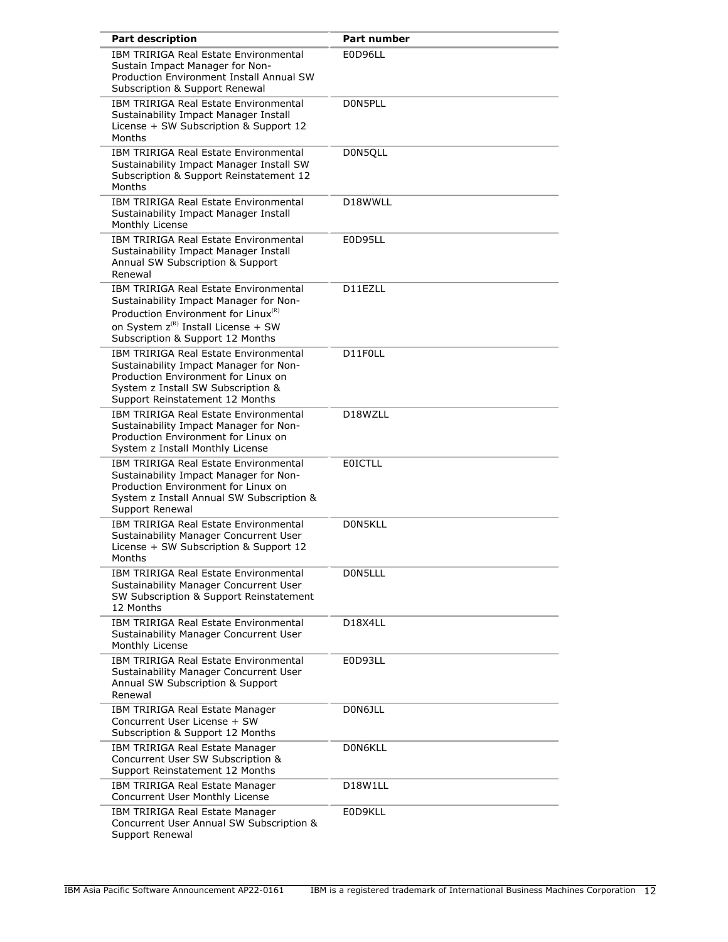| <b>Part description</b>                                                                                                                                                                                                   | <b>Part number</b>                |
|---------------------------------------------------------------------------------------------------------------------------------------------------------------------------------------------------------------------------|-----------------------------------|
| <b>IBM TRIRIGA Real Estate Environmental</b><br>Sustain Impact Manager for Non-<br>Production Environment Install Annual SW<br>Subscription & Support Renewal                                                             | E0D96LL                           |
| <b>IBM TRIRIGA Real Estate Environmental</b><br>Sustainability Impact Manager Install<br>License + SW Subscription & Support 12<br>Months                                                                                 | D0N5PLL                           |
| <b>IBM TRIRIGA Real Estate Environmental</b><br>Sustainability Impact Manager Install SW<br>Subscription & Support Reinstatement 12<br>Months                                                                             | D0N5QLL                           |
| <b>IBM TRIRIGA Real Estate Environmental</b><br>Sustainability Impact Manager Install<br>Monthly License                                                                                                                  | D18WWLL                           |
| <b>IBM TRIRIGA Real Estate Environmental</b><br>Sustainability Impact Manager Install<br>Annual SW Subscription & Support<br>Renewal                                                                                      | E0D95LL                           |
| <b>IBM TRIRIGA Real Estate Environmental</b><br>Sustainability Impact Manager for Non-<br>Production Environment for Linux <sup>(R)</sup><br>on System $z^{(R)}$ Install License + SW<br>Subscription & Support 12 Months | D11EZLL                           |
| <b>IBM TRIRIGA Real Estate Environmental</b><br>Sustainability Impact Manager for Non-<br>Production Environment for Linux on<br>System z Install SW Subscription &<br>Support Reinstatement 12 Months                    | D11F0LL                           |
| <b>IBM TRIRIGA Real Estate Environmental</b><br>Sustainability Impact Manager for Non-<br>Production Environment for Linux on<br>System z Install Monthly License                                                         | D18WZLL                           |
| <b>IBM TRIRIGA Real Estate Environmental</b><br>Sustainability Impact Manager for Non-<br>Production Environment for Linux on<br>System z Install Annual SW Subscription &<br>Support Renewal                             | <b>EOICTLL</b>                    |
| <b>IBM TRIRIGA Real Estate Environmental</b><br>Sustainability Manager Concurrent User<br>License + SW Subscription & Support 12<br>Months                                                                                | D0N5KLL                           |
| <b>IBM TRIRIGA Real Estate Environmental</b><br>Sustainability Manager Concurrent User<br>SW Subscription & Support Reinstatement<br>12 Months                                                                            | D0N5LLL                           |
| <b>IBM TRIRIGA Real Estate Environmental</b><br>Sustainability Manager Concurrent User<br>Monthly License                                                                                                                 | D <sub>18</sub> X <sub>4</sub> LL |
| IBM TRIRIGA Real Estate Environmental<br>Sustainability Manager Concurrent User<br>Annual SW Subscription & Support<br>Renewal                                                                                            | E0D93LL                           |
| IBM TRIRIGA Real Estate Manager<br>Concurrent User License + SW<br>Subscription & Support 12 Months                                                                                                                       | D0N6JLL                           |
| IBM TRIRIGA Real Estate Manager<br>Concurrent User SW Subscription &<br>Support Reinstatement 12 Months                                                                                                                   | D0N6KLL                           |
| IBM TRIRIGA Real Estate Manager<br>Concurrent User Monthly License                                                                                                                                                        | D18W1LL                           |
| IBM TRIRIGA Real Estate Manager<br>Concurrent User Annual SW Subscription &<br>Support Renewal                                                                                                                            | E0D9KLL                           |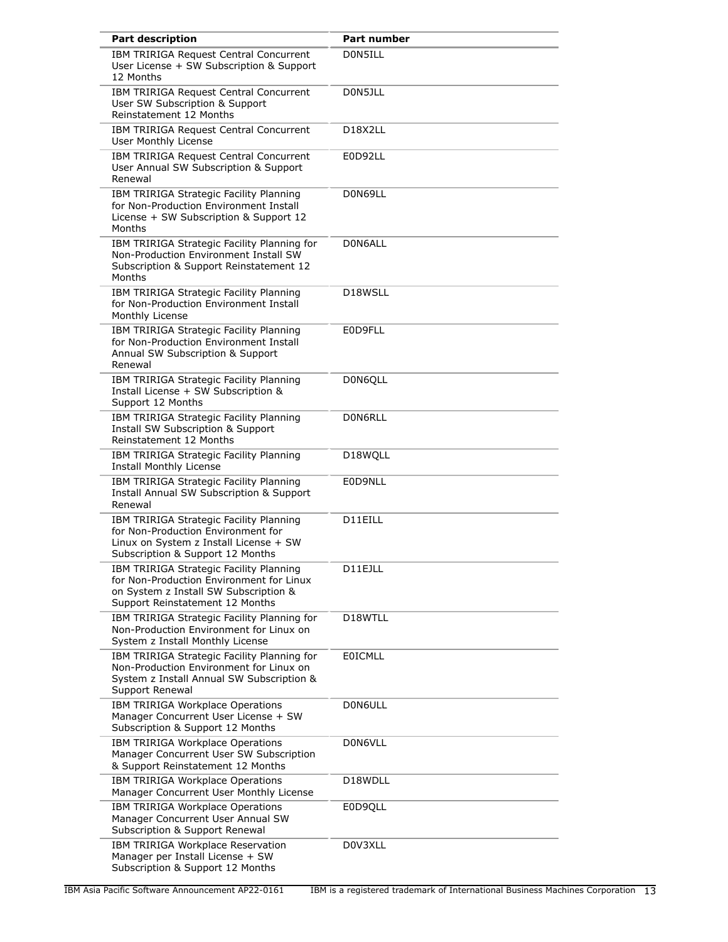| <b>Part description</b>                                                                                                                                         | Part number                       |
|-----------------------------------------------------------------------------------------------------------------------------------------------------------------|-----------------------------------|
| <b>IBM TRIRIGA Request Central Concurrent</b><br>User License + SW Subscription & Support<br>12 Months                                                          | D0N5ILL                           |
| IBM TRIRIGA Request Central Concurrent<br>User SW Subscription & Support<br>Reinstatement 12 Months                                                             | D0N5JLL                           |
| IBM TRIRIGA Request Central Concurrent<br>User Monthly License                                                                                                  | D <sub>18</sub> X <sub>2</sub> LL |
| IBM TRIRIGA Request Central Concurrent<br>User Annual SW Subscription & Support<br>Renewal                                                                      | E0D92LL                           |
| IBM TRIRIGA Strategic Facility Planning<br>for Non-Production Environment Install<br>License + SW Subscription & Support 12<br>Months                           | D0N69LL                           |
| IBM TRIRIGA Strategic Facility Planning for<br>Non-Production Environment Install SW<br>Subscription & Support Reinstatement 12<br>Months                       | D0N6ALL                           |
| IBM TRIRIGA Strategic Facility Planning<br>for Non-Production Environment Install<br>Monthly License                                                            | D18WSLL                           |
| IBM TRIRIGA Strategic Facility Planning<br>for Non-Production Environment Install<br>Annual SW Subscription & Support<br>Renewal                                | E0D9FLL                           |
| IBM TRIRIGA Strategic Facility Planning<br>Install License + SW Subscription &<br>Support 12 Months                                                             | D0N6QLL                           |
| IBM TRIRIGA Strategic Facility Planning<br><b>Install SW Subscription &amp; Support</b><br>Reinstatement 12 Months                                              | D0N6RLL                           |
| IBM TRIRIGA Strategic Facility Planning<br>Install Monthly License                                                                                              | D18WQLL                           |
| IBM TRIRIGA Strategic Facility Planning<br>Install Annual SW Subscription & Support<br>Renewal                                                                  | E0D9NLL                           |
| IBM TRIRIGA Strategic Facility Planning<br>for Non-Production Environment for<br>Linux on System z Install License + SW<br>Subscription & Support 12 Months     | D11EILL                           |
| IBM TRIRIGA Strategic Facility Planning<br>for Non-Production Environment for Linux<br>on System z Install SW Subscription &<br>Support Reinstatement 12 Months | D11EJLL                           |
| IBM TRIRIGA Strategic Facility Planning for<br>Non-Production Environment for Linux on<br>System z Install Monthly License                                      | D18WTLL                           |
| IBM TRIRIGA Strategic Facility Planning for<br>Non-Production Environment for Linux on<br>System z Install Annual SW Subscription &<br>Support Renewal          | <b>EOICMLL</b>                    |
| IBM TRIRIGA Workplace Operations<br>Manager Concurrent User License + SW<br>Subscription & Support 12 Months                                                    | D0N6ULL                           |
| IBM TRIRIGA Workplace Operations<br>Manager Concurrent User SW Subscription<br>& Support Reinstatement 12 Months                                                | D0N6VLL                           |
| IBM TRIRIGA Workplace Operations<br>Manager Concurrent User Monthly License                                                                                     | D18WDLL                           |
| IBM TRIRIGA Workplace Operations<br>Manager Concurrent User Annual SW<br>Subscription & Support Renewal                                                         | E0D9QLL                           |
| IBM TRIRIGA Workplace Reservation<br>Manager per Install License + SW<br>Subscription & Support 12 Months                                                       | D0V3XLL                           |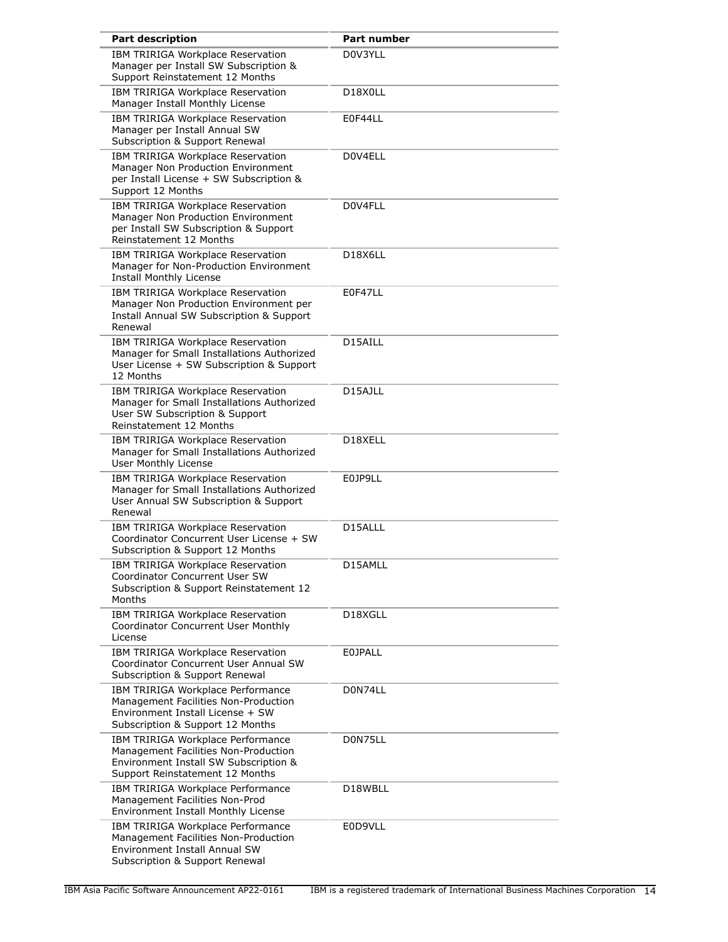| <b>Part description</b>                                                                                                                               | Part number                       |
|-------------------------------------------------------------------------------------------------------------------------------------------------------|-----------------------------------|
| IBM TRIRIGA Workplace Reservation<br>Manager per Install SW Subscription &<br>Support Reinstatement 12 Months                                         | D0V3YLL                           |
| IBM TRIRIGA Workplace Reservation<br>Manager Install Monthly License                                                                                  | D18X0LL                           |
| IBM TRIRIGA Workplace Reservation<br>Manager per Install Annual SW<br>Subscription & Support Renewal                                                  | E0F44LL                           |
| IBM TRIRIGA Workplace Reservation<br>Manager Non Production Environment<br>per Install License + SW Subscription &<br>Support 12 Months               | D0V4ELL                           |
| IBM TRIRIGA Workplace Reservation<br>Manager Non Production Environment<br>per Install SW Subscription & Support<br>Reinstatement 12 Months           | D0V4FLL                           |
| IBM TRIRIGA Workplace Reservation<br>Manager for Non-Production Environment<br><b>Install Monthly License</b>                                         | D <sub>18</sub> X <sub>6</sub> LL |
| IBM TRIRIGA Workplace Reservation<br>Manager Non Production Environment per<br>Install Annual SW Subscription & Support<br>Renewal                    | E0F47LL                           |
| IBM TRIRIGA Workplace Reservation<br>Manager for Small Installations Authorized<br>User License + SW Subscription & Support<br>12 Months              | D15AILL                           |
| IBM TRIRIGA Workplace Reservation<br>Manager for Small Installations Authorized<br>User SW Subscription & Support<br>Reinstatement 12 Months          | D15AJLL                           |
| IBM TRIRIGA Workplace Reservation<br>Manager for Small Installations Authorized<br>User Monthly License                                               | D18XELL                           |
| IBM TRIRIGA Workplace Reservation<br>Manager for Small Installations Authorized<br>User Annual SW Subscription & Support<br>Renewal                   | E0JP9LL                           |
| IBM TRIRIGA Workplace Reservation<br>Coordinator Concurrent User License + SW<br>Subscription & Support 12 Months                                     | D15ALLL                           |
| IBM TRIRIGA Workplace Reservation<br>Coordinator Concurrent User SW<br>Subscription & Support Reinstatement 12<br>Months                              | D15AMLL                           |
| IBM TRIRIGA Workplace Reservation<br><b>Coordinator Concurrent User Monthly</b><br>License                                                            | D18XGLL                           |
| IBM TRIRIGA Workplace Reservation<br>Coordinator Concurrent User Annual SW<br>Subscription & Support Renewal                                          | <b>EOJPALL</b>                    |
| IBM TRIRIGA Workplace Performance<br>Management Facilities Non-Production<br>Environment Install License + SW<br>Subscription & Support 12 Months     | D0N74LL                           |
| IBM TRIRIGA Workplace Performance<br>Management Facilities Non-Production<br>Environment Install SW Subscription &<br>Support Reinstatement 12 Months | D0N75LL                           |
| IBM TRIRIGA Workplace Performance<br>Management Facilities Non-Prod<br>Environment Install Monthly License                                            | D18WBLL                           |
| IBM TRIRIGA Workplace Performance<br>Management Facilities Non-Production<br>Environment Install Annual SW<br>Subscription & Support Renewal          | E0D9VLL                           |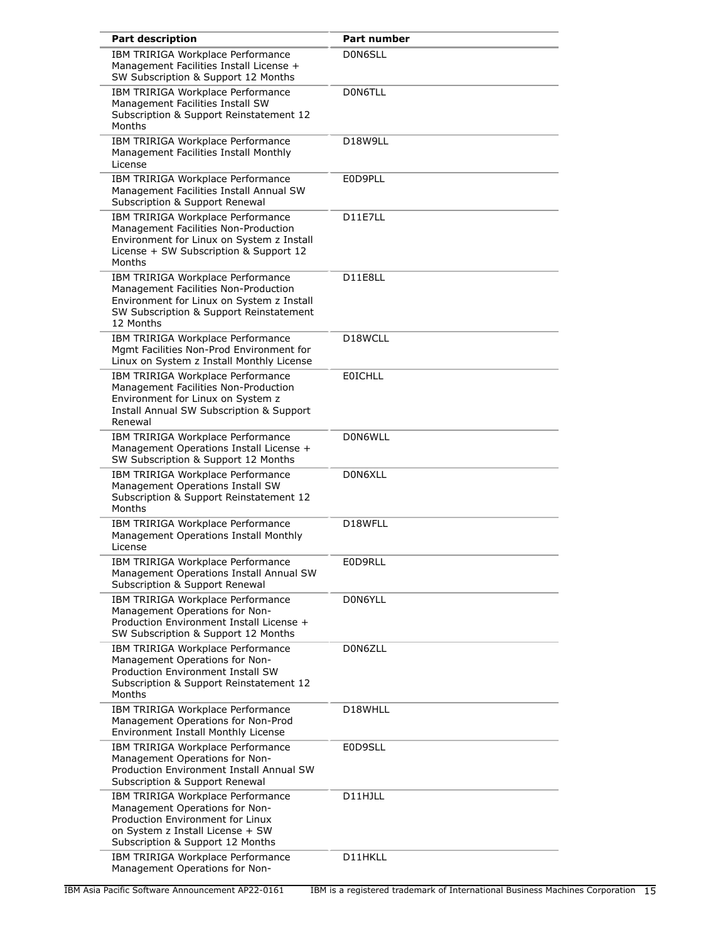| <b>Part description</b>                                                                                                                                                         | Part number          |
|---------------------------------------------------------------------------------------------------------------------------------------------------------------------------------|----------------------|
| IBM TRIRIGA Workplace Performance<br>Management Facilities Install License +<br>SW Subscription & Support 12 Months                                                             | D0N6SLL              |
| IBM TRIRIGA Workplace Performance<br>Management Facilities Install SW<br>Subscription & Support Reinstatement 12<br>Months                                                      | D0N6TLL              |
| IBM TRIRIGA Workplace Performance<br>Management Facilities Install Monthly<br>License                                                                                           | D18W9LL              |
| IBM TRIRIGA Workplace Performance<br>Management Facilities Install Annual SW<br>Subscription & Support Renewal                                                                  | E0D9PLL              |
| IBM TRIRIGA Workplace Performance<br>Management Facilities Non-Production<br>Environment for Linux on System z Install<br>License + SW Subscription & Support 12<br>Months      | D11E7LL              |
| IBM TRIRIGA Workplace Performance<br>Management Facilities Non-Production<br>Environment for Linux on System z Install<br>SW Subscription & Support Reinstatement<br>12 Months  | D11E8LL              |
| IBM TRIRIGA Workplace Performance<br>Mgmt Facilities Non-Prod Environment for<br>Linux on System z Install Monthly License                                                      | D <sub>18</sub> WCLL |
| IBM TRIRIGA Workplace Performance<br>Management Facilities Non-Production<br>Environment for Linux on System z<br>Install Annual SW Subscription & Support<br>Renewal           | <b>EOICHLL</b>       |
| IBM TRIRIGA Workplace Performance<br>Management Operations Install License +<br>SW Subscription & Support 12 Months                                                             | D0N6WLL              |
| IBM TRIRIGA Workplace Performance<br>Management Operations Install SW<br>Subscription & Support Reinstatement 12<br>Months                                                      | D0N6XLL              |
| IBM TRIRIGA Workplace Performance<br>Management Operations Install Monthly<br>License                                                                                           | D18WFLL              |
| IBM TRIRIGA Workplace Performance<br>Management Operations Install Annual SW<br>Subscription & Support Renewal                                                                  | E0D9RLL              |
| IBM TRIRIGA Workplace Performance<br>Management Operations for Non-<br>Production Environment Install License +<br>SW Subscription & Support 12 Months                          | D0N6YLL              |
| IBM TRIRIGA Workplace Performance<br>Management Operations for Non-<br><b>Production Environment Install SW</b><br>Subscription & Support Reinstatement 12<br>Months            | D0N6ZLL              |
| IBM TRIRIGA Workplace Performance<br>Management Operations for Non-Prod<br>Environment Install Monthly License                                                                  | D18WHLL              |
| IBM TRIRIGA Workplace Performance<br>Management Operations for Non-<br>Production Environment Install Annual SW<br>Subscription & Support Renewal                               | E0D9SLL              |
| IBM TRIRIGA Workplace Performance<br>Management Operations for Non-<br>Production Environment for Linux<br>on System z Install License + SW<br>Subscription & Support 12 Months | D11HJLL              |
| IBM TRIRIGA Workplace Performance<br>Management Operations for Non-                                                                                                             | D11HKLL              |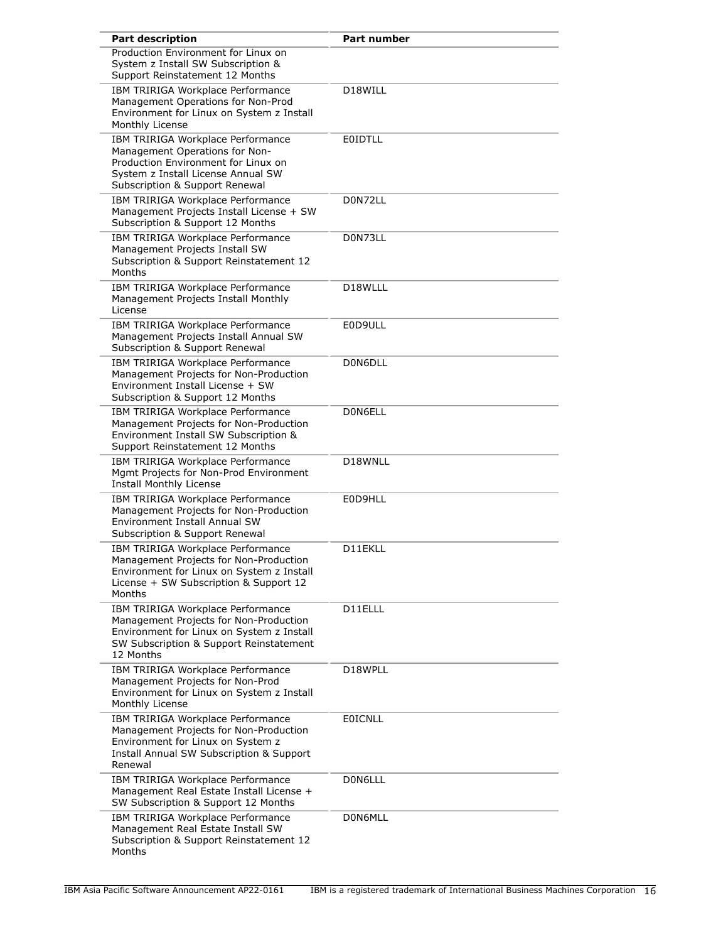| <b>Part description</b>                                                                                                                                                            | <b>Part number</b> |
|------------------------------------------------------------------------------------------------------------------------------------------------------------------------------------|--------------------|
| Production Environment for Linux on<br>System z Install SW Subscription &<br>Support Reinstatement 12 Months                                                                       |                    |
| IBM TRIRIGA Workplace Performance<br>Management Operations for Non-Prod<br>Environment for Linux on System z Install<br>Monthly License                                            | D18WILL            |
| IBM TRIRIGA Workplace Performance<br>Management Operations for Non-<br>Production Environment for Linux on<br>System z Install License Annual SW<br>Subscription & Support Renewal | EOIDTLL            |
| IBM TRIRIGA Workplace Performance<br>Management Projects Install License + SW<br>Subscription & Support 12 Months                                                                  | D0N72LL            |
| IBM TRIRIGA Workplace Performance<br>Management Projects Install SW<br>Subscription & Support Reinstatement 12<br>Months                                                           | D0N73LL            |
| IBM TRIRIGA Workplace Performance<br>Management Projects Install Monthly<br>License                                                                                                | D18WLLL            |
| IBM TRIRIGA Workplace Performance<br>Management Projects Install Annual SW<br>Subscription & Support Renewal                                                                       | E0D9ULL            |
| IBM TRIRIGA Workplace Performance<br>Management Projects for Non-Production<br>Environment Install License + SW<br>Subscription & Support 12 Months                                | D0N6DLL            |
| IBM TRIRIGA Workplace Performance<br>Management Projects for Non-Production<br>Environment Install SW Subscription &<br>Support Reinstatement 12 Months                            | D0N6ELL            |
| IBM TRIRIGA Workplace Performance<br>Mgmt Projects for Non-Prod Environment<br>Install Monthly License                                                                             | D18WNLL            |
| IBM TRIRIGA Workplace Performance<br>Management Projects for Non-Production<br>Environment Install Annual SW<br>Subscription & Support Renewal                                     | E0D9HLL            |
| IBM TRIRIGA Workplace Performance<br>Management Projects for Non-Production<br>Environment for Linux on System z Install<br>License + SW Subscription & Support 12<br>Months       | D11EKLL            |
| IBM TRIRIGA Workplace Performance<br>Management Projects for Non-Production<br>Environment for Linux on System z Install<br>SW Subscription & Support Reinstatement<br>12 Months   | D11ELLL            |
| IBM TRIRIGA Workplace Performance<br>Management Projects for Non-Prod<br>Environment for Linux on System z Install<br>Monthly License                                              | D18WPLL            |
| IBM TRIRIGA Workplace Performance<br>Management Projects for Non-Production<br>Environment for Linux on System z<br>Install Annual SW Subscription & Support<br>Renewal            | <b>EOICNLL</b>     |
| IBM TRIRIGA Workplace Performance<br>Management Real Estate Install License +<br>SW Subscription & Support 12 Months                                                               | D0N6LLL            |
| IBM TRIRIGA Workplace Performance<br>Management Real Estate Install SW<br>Subscription & Support Reinstatement 12<br>Months                                                        | D0N6MLL            |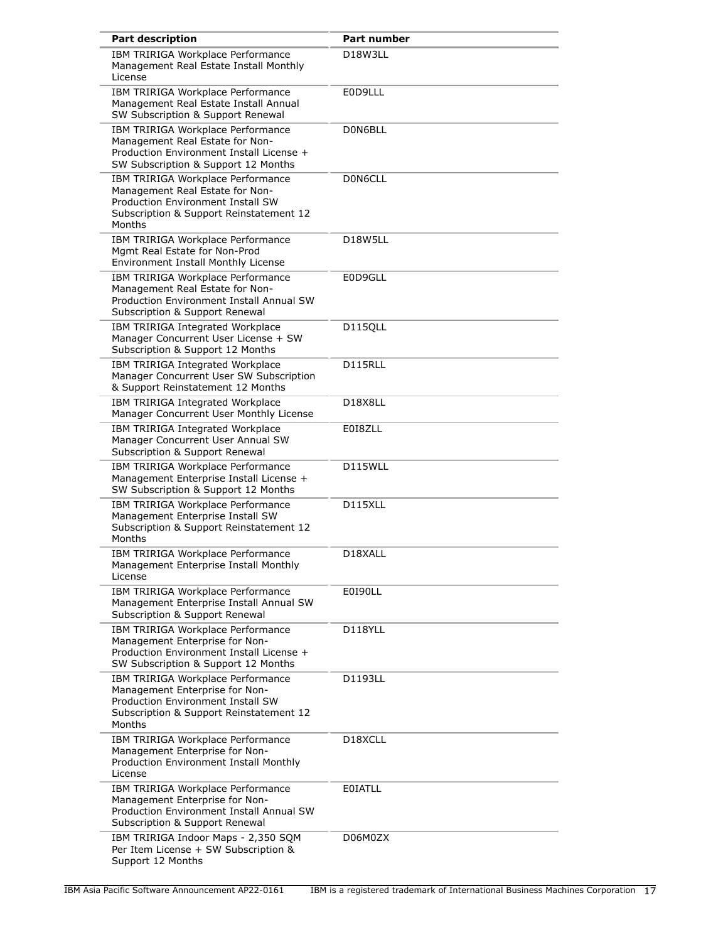| <b>Part description</b>                                                                                                                                        | <b>Part number</b>                |
|----------------------------------------------------------------------------------------------------------------------------------------------------------------|-----------------------------------|
| IBM TRIRIGA Workplace Performance<br>Management Real Estate Install Monthly<br>License                                                                         | D <sub>18</sub> W <sub>3LL</sub>  |
| IBM TRIRIGA Workplace Performance<br>Management Real Estate Install Annual<br>SW Subscription & Support Renewal                                                | E0D9LLL                           |
| IBM TRIRIGA Workplace Performance<br>Management Real Estate for Non-<br>Production Environment Install License +<br>SW Subscription & Support 12 Months        | D0N6BLL                           |
| IBM TRIRIGA Workplace Performance<br>Management Real Estate for Non-<br>Production Environment Install SW<br>Subscription & Support Reinstatement 12<br>Months | D0N6CLL                           |
| IBM TRIRIGA Workplace Performance<br>Mgmt Real Estate for Non-Prod<br>Environment Install Monthly License                                                      | D18W5LL                           |
| IBM TRIRIGA Workplace Performance<br>Management Real Estate for Non-<br><b>Production Environment Install Annual SW</b><br>Subscription & Support Renewal      | E0D9GLL                           |
| IBM TRIRIGA Integrated Workplace<br>Manager Concurrent User License + SW<br>Subscription & Support 12 Months                                                   | D115QLL                           |
| IBM TRIRIGA Integrated Workplace<br>Manager Concurrent User SW Subscription<br>& Support Reinstatement 12 Months                                               | D115RLL                           |
| IBM TRIRIGA Integrated Workplace<br>Manager Concurrent User Monthly License                                                                                    | D <sub>18</sub> X <sub>8</sub> LL |
| IBM TRIRIGA Integrated Workplace<br>Manager Concurrent User Annual SW<br>Subscription & Support Renewal                                                        | E018ZLL                           |
| IBM TRIRIGA Workplace Performance<br>Management Enterprise Install License +<br>SW Subscription & Support 12 Months                                            | D115WLL                           |
| IBM TRIRIGA Workplace Performance<br>Management Enterprise Install SW<br>Subscription & Support Reinstatement 12<br>Months                                     | D115XLL                           |
| IBM TRIRIGA Workplace Performance<br>Management Enterprise Install Monthly<br>License                                                                          | D18XALL                           |
| IBM TRIRIGA Workplace Performance<br>Management Enterprise Install Annual SW<br>Subscription & Support Renewal                                                 | E0190LL                           |
| IBM TRIRIGA Workplace Performance<br>Management Enterprise for Non-<br>Production Environment Install License +<br>SW Subscription & Support 12 Months         | D118YLL                           |
| IBM TRIRIGA Workplace Performance<br>Management Enterprise for Non-<br>Production Environment Install SW<br>Subscription & Support Reinstatement 12<br>Months  | D1193LL                           |
| IBM TRIRIGA Workplace Performance<br>Management Enterprise for Non-<br>Production Environment Install Monthly<br>License                                       | D <sub>18</sub> XCLL              |
| IBM TRIRIGA Workplace Performance<br>Management Enterprise for Non-<br>Production Environment Install Annual SW<br>Subscription & Support Renewal              | <b>EOIATLL</b>                    |
| IBM TRIRIGA Indoor Maps - 2,350 SQM<br>Per Item License + SW Subscription &<br>Support 12 Months                                                               | D06M0ZX                           |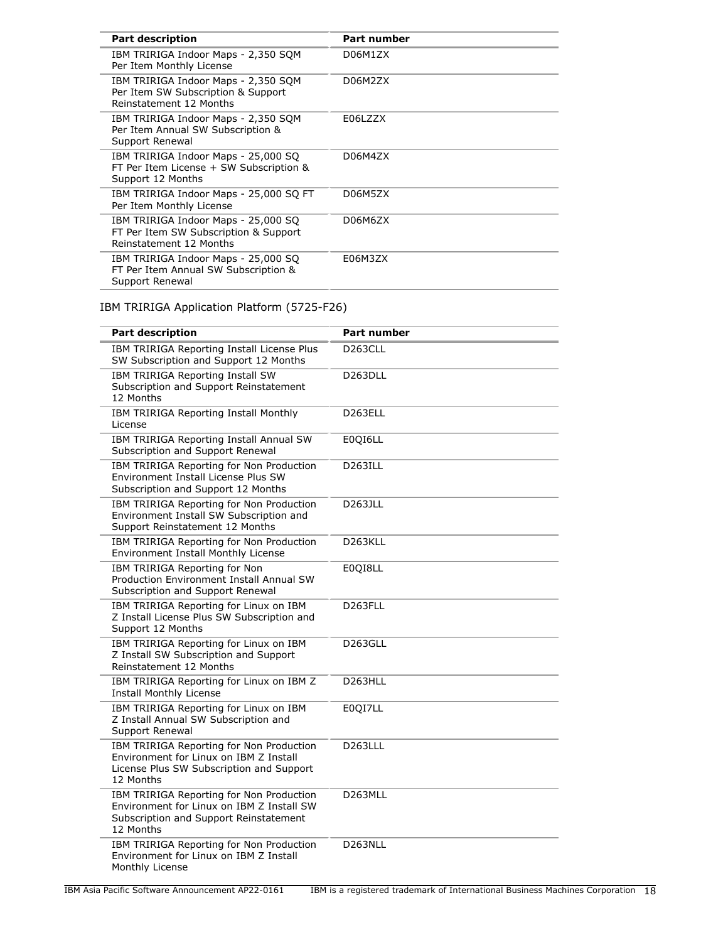| <b>Part description</b>                                                                                 | <b>Part number</b> |
|---------------------------------------------------------------------------------------------------------|--------------------|
| IBM TRIRIGA Indoor Maps - 2,350 SQM<br>Per Item Monthly License                                         | D06M1ZX            |
| IBM TRIRIGA Indoor Maps - 2,350 SOM<br>Per Item SW Subscription & Support<br>Reinstatement 12 Months    | D06M2ZX            |
| IBM TRIRIGA Indoor Maps - 2,350 SOM<br>Per Item Annual SW Subscription &<br>Support Renewal             | E06LZZX            |
| IBM TRIRIGA Indoor Maps - 25,000 SQ<br>FT Per Item License + SW Subscription &<br>Support 12 Months     | D06M4ZX            |
| IBM TRIRIGA Indoor Maps - 25,000 SQ FT<br>Per Item Monthly License                                      | D06M5ZX            |
| IBM TRIRIGA Indoor Maps - 25,000 SQ<br>FT Per Item SW Subscription & Support<br>Reinstatement 12 Months | D06M6ZX            |
| IBM TRIRIGA Indoor Maps - 25,000 SQ<br>FT Per Item Annual SW Subscription &<br>Support Renewal          | E06M3ZX            |

# IBM TRIRIGA Application Platform (5725-F26)

| <b>Part description</b>                                                                                                                      | Part number          |
|----------------------------------------------------------------------------------------------------------------------------------------------|----------------------|
| IBM TRIRIGA Reporting Install License Plus<br>SW Subscription and Support 12 Months                                                          | D <sub>263</sub> CLL |
| IBM TRIRIGA Reporting Install SW<br>Subscription and Support Reinstatement<br>12 Months                                                      | D263DLL              |
| IBM TRIRIGA Reporting Install Monthly<br>License                                                                                             | D <sub>263</sub> ELL |
| IBM TRIRIGA Reporting Install Annual SW<br>Subscription and Support Renewal                                                                  | E0QI6LL              |
| IBM TRIRIGA Reporting for Non Production<br>Environment Install License Plus SW<br>Subscription and Support 12 Months                        | <b>D263ILL</b>       |
| IBM TRIRIGA Reporting for Non Production<br>Environment Install SW Subscription and<br>Support Reinstatement 12 Months                       | D263JLL              |
| IBM TRIRIGA Reporting for Non Production<br>Environment Install Monthly License                                                              | D263KLL              |
| IBM TRIRIGA Reporting for Non<br>Production Environment Install Annual SW<br>Subscription and Support Renewal                                | E0QI8LL              |
| IBM TRIRIGA Reporting for Linux on IBM<br>Z Install License Plus SW Subscription and<br>Support 12 Months                                    | D <sub>263FLL</sub>  |
| IBM TRIRIGA Reporting for Linux on IBM<br>Z Install SW Subscription and Support<br>Reinstatement 12 Months                                   | D <sub>263GLL</sub>  |
| IBM TRIRIGA Reporting for Linux on IBM Z<br><b>Install Monthly License</b>                                                                   | D <sub>263</sub> HLL |
| IBM TRIRIGA Reporting for Linux on IBM<br>Z Install Annual SW Subscription and<br>Support Renewal                                            | E0QI7LL              |
| IBM TRIRIGA Reporting for Non Production<br>Environment for Linux on IBM Z Install<br>License Plus SW Subscription and Support<br>12 Months  | <b>D263LLL</b>       |
| IBM TRIRIGA Reporting for Non Production<br>Environment for Linux on IBM Z Install SW<br>Subscription and Support Reinstatement<br>12 Months | D263MLL              |
| IBM TRIRIGA Reporting for Non Production<br>Environment for Linux on IBM Z Install<br>Monthly License                                        | D263NLL              |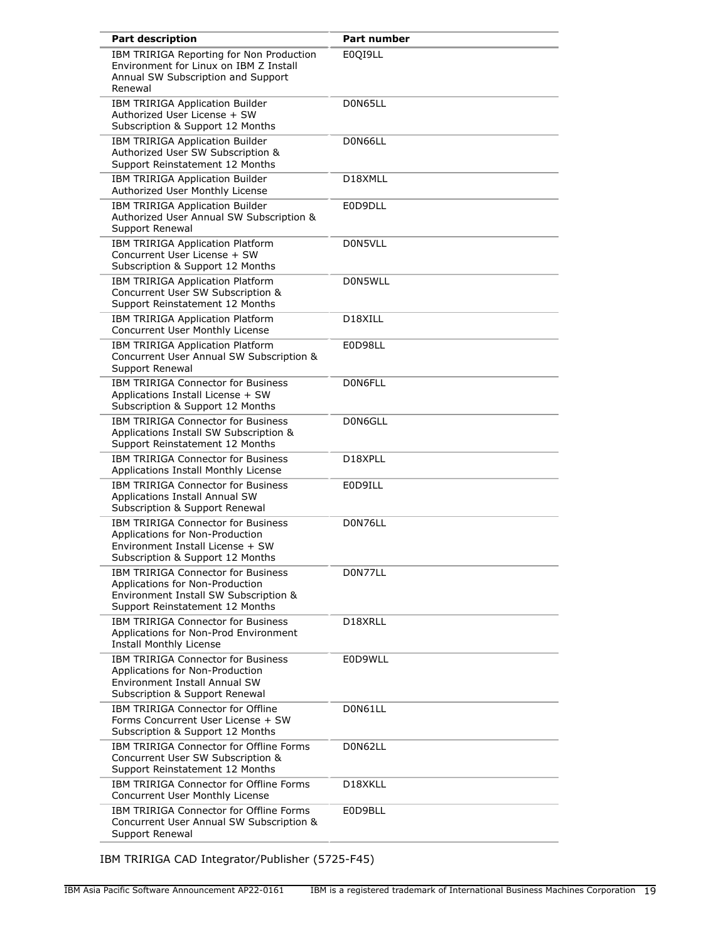| <b>Part description</b>                                                                                                                                  | <b>Part number</b>   |
|----------------------------------------------------------------------------------------------------------------------------------------------------------|----------------------|
| IBM TRIRIGA Reporting for Non Production<br>Environment for Linux on IBM Z Install<br>Annual SW Subscription and Support<br>Renewal                      | E0QI9LL              |
| IBM TRIRIGA Application Builder<br>Authorized User License + SW<br>Subscription & Support 12 Months                                                      | D0N65LL              |
| IBM TRIRIGA Application Builder<br>Authorized User SW Subscription &<br>Support Reinstatement 12 Months                                                  | D0N66LL              |
| IBM TRIRIGA Application Builder<br>Authorized User Monthly License                                                                                       | D18XMLL              |
| IBM TRIRIGA Application Builder<br>Authorized User Annual SW Subscription &<br>Support Renewal                                                           | E0D9DLL              |
| IBM TRIRIGA Application Platform<br>Concurrent User License + SW<br>Subscription & Support 12 Months                                                     | D0N5VLL              |
| IBM TRIRIGA Application Platform<br>Concurrent User SW Subscription &<br>Support Reinstatement 12 Months                                                 | D0N5WLL              |
| IBM TRIRIGA Application Platform<br>Concurrent User Monthly License                                                                                      | D18XILL              |
| IBM TRIRIGA Application Platform<br>Concurrent User Annual SW Subscription &<br>Support Renewal                                                          | E0D98LL              |
| <b>IBM TRIRIGA Connector for Business</b><br>Applications Install License + SW<br>Subscription & Support 12 Months                                       | D0N6FLL              |
| IBM TRIRIGA Connector for Business<br>Applications Install SW Subscription &<br>Support Reinstatement 12 Months                                          | D0N6GLL              |
| <b>IBM TRIRIGA Connector for Business</b><br>Applications Install Monthly License                                                                        | D <sub>18</sub> XPLL |
| <b>IBM TRIRIGA Connector for Business</b><br>Applications Install Annual SW<br>Subscription & Support Renewal                                            | E0D9ILL              |
| IBM TRIRIGA Connector for Business<br>Applications for Non-Production<br>Environment Install License + SW<br>Subscription & Support 12 Months            | D0N76LL              |
| <b>IBM TRIRIGA Connector for Business</b><br>Applications for Non-Production<br>Environment Install SW Subscription &<br>Support Reinstatement 12 Months | D0N77LL              |
| <b>IBM TRIRIGA Connector for Business</b><br>Applications for Non-Prod Environment<br>Install Monthly License                                            | D18XRLL              |
| IBM TRIRIGA Connector for Business<br>Applications for Non-Production<br>Environment Install Annual SW<br>Subscription & Support Renewal                 | E0D9WLL              |
| IBM TRIRIGA Connector for Offline<br>Forms Concurrent User License + SW<br>Subscription & Support 12 Months                                              | D0N61LL              |
| IBM TRIRIGA Connector for Offline Forms<br>Concurrent User SW Subscription &<br>Support Reinstatement 12 Months                                          | D0N62LL              |
| IBM TRIRIGA Connector for Offline Forms<br>Concurrent User Monthly License                                                                               | D18XKLL              |
| IBM TRIRIGA Connector for Offline Forms<br>Concurrent User Annual SW Subscription &<br>Support Renewal                                                   | E0D9BLL              |

IBM TRIRIGA CAD Integrator/Publisher (5725-F45)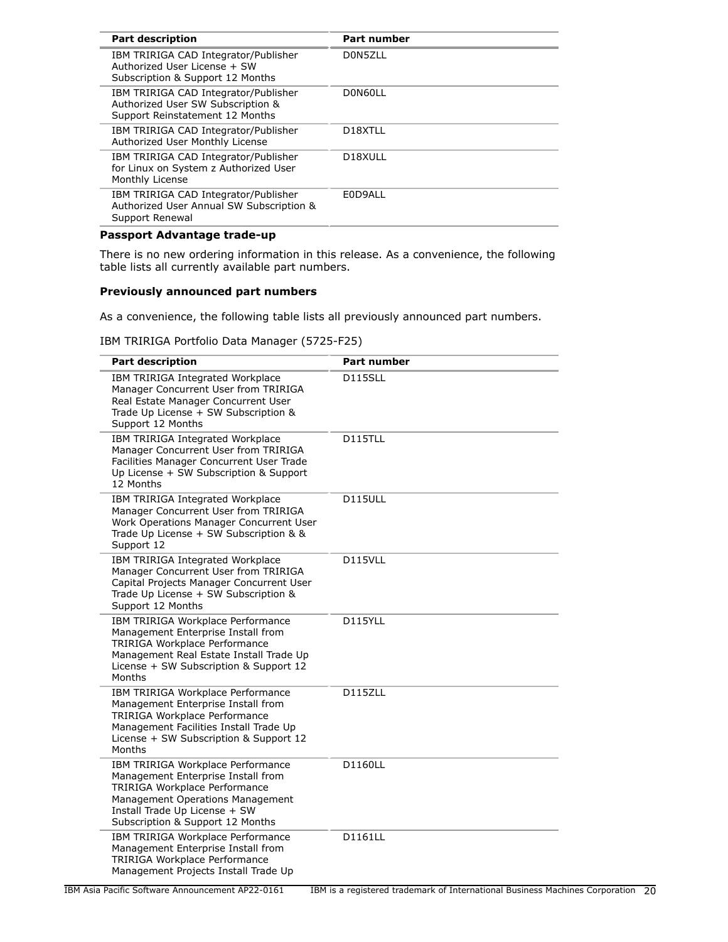| <b>Part description</b>                                                                                      | <b>Part number</b>   |
|--------------------------------------------------------------------------------------------------------------|----------------------|
| IBM TRIRIGA CAD Integrator/Publisher<br>Authorized User License + SW<br>Subscription & Support 12 Months     | D0N5ZLL              |
| IBM TRIRIGA CAD Integrator/Publisher<br>Authorized User SW Subscription &<br>Support Reinstatement 12 Months | D0N60LL              |
| IBM TRIRIGA CAD Integrator/Publisher<br>Authorized User Monthly License                                      | D <sub>18</sub> XTLL |
| IBM TRIRIGA CAD Integrator/Publisher<br>for Linux on System z Authorized User<br>Monthly License             | D <sub>18</sub> XULL |
| IBM TRIRIGA CAD Integrator/Publisher<br>Authorized User Annual SW Subscription &<br>Support Renewal          | E0D9ALL              |
|                                                                                                              |                      |

# **Passport Advantage trade-up**

There is no new ordering information in this release. As a convenience, the following table lists all currently available part numbers.

# **Previously announced part numbers**

As a convenience, the following table lists all previously announced part numbers.

IBM TRIRIGA Portfolio Data Manager (5725-F25)

| <b>Part description</b>                                                                                                                                                                                           | <b>Part number</b> |
|-------------------------------------------------------------------------------------------------------------------------------------------------------------------------------------------------------------------|--------------------|
| IBM TRIRIGA Integrated Workplace<br>Manager Concurrent User from TRIRIGA<br>Real Estate Manager Concurrent User<br>Trade Up License + SW Subscription &<br>Support 12 Months                                      | D115SLL            |
| IBM TRIRIGA Integrated Workplace<br>Manager Concurrent User from TRIRIGA<br>Facilities Manager Concurrent User Trade<br>Up License + SW Subscription & Support<br>12 Months                                       | <b>D115TLL</b>     |
| IBM TRIRIGA Integrated Workplace<br>Manager Concurrent User from TRIRIGA<br>Work Operations Manager Concurrent User<br>Trade Up License + SW Subscription & &<br>Support 12                                       | D115ULL            |
| IBM TRIRIGA Integrated Workplace<br>Manager Concurrent User from TRIRIGA<br>Capital Projects Manager Concurrent User<br>Trade Up License + SW Subscription &<br>Support 12 Months                                 | D115VLL            |
| IBM TRIRIGA Workplace Performance<br>Management Enterprise Install from<br>TRIRIGA Workplace Performance<br>Management Real Estate Install Trade Up<br>License + SW Subscription & Support 12<br>Months           | D115YLL            |
| IBM TRIRIGA Workplace Performance<br>Management Enterprise Install from<br>TRIRIGA Workplace Performance<br>Management Facilities Install Trade Up<br>License + SW Subscription & Support 12<br>Months            | D115ZLL            |
| IBM TRIRIGA Workplace Performance<br>Management Enterprise Install from<br>TRIRIGA Workplace Performance<br>Management Operations Management<br>Install Trade Up License + SW<br>Subscription & Support 12 Months | D1160LL            |
| IBM TRIRIGA Workplace Performance<br>Management Enterprise Install from<br><b>TRIRIGA Workplace Performance</b><br>Management Projects Install Trade Up                                                           | D1161LL            |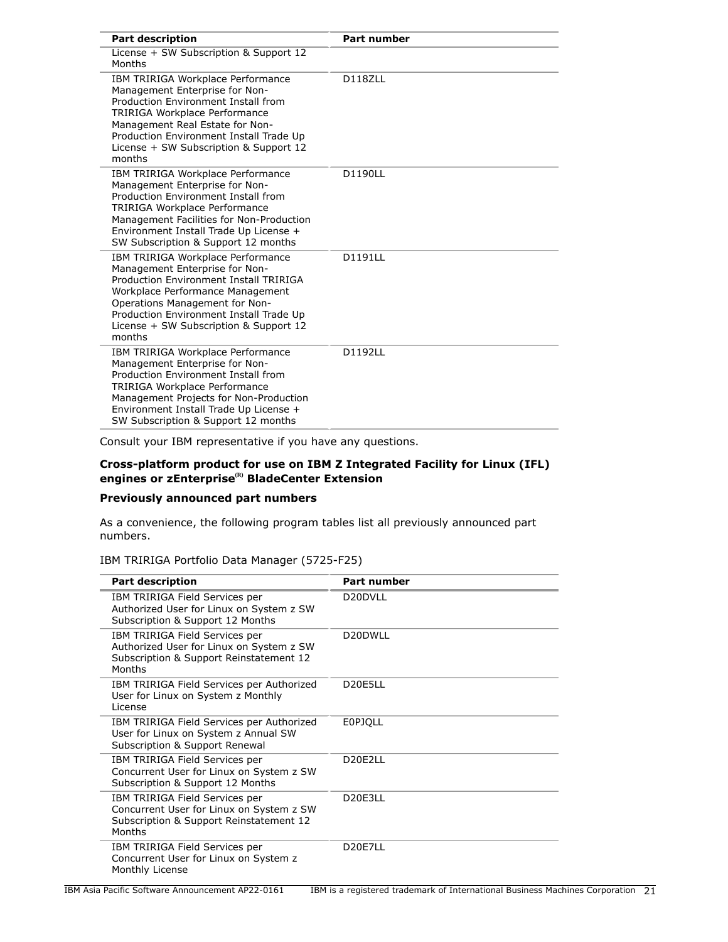| <b>Part description</b>                                                                                                                                                                                                                                                            | <b>Part number</b> |
|------------------------------------------------------------------------------------------------------------------------------------------------------------------------------------------------------------------------------------------------------------------------------------|--------------------|
| License + SW Subscription & Support 12<br>Months                                                                                                                                                                                                                                   |                    |
| IBM TRIRIGA Workplace Performance<br>Management Enterprise for Non-<br>Production Environment Install from<br>TRIRIGA Workplace Performance<br>Management Real Estate for Non-<br>Production Environment Install Trade Up<br>License + SW Subscription & Support 12<br>months      | D118ZLL            |
| IBM TRIRIGA Workplace Performance<br>Management Enterprise for Non-<br>Production Environment Install from<br>TRIRIGA Workplace Performance<br>Management Facilities for Non-Production<br>Environment Install Trade Up License +<br>SW Subscription & Support 12 months           | D1190LL            |
| IBM TRIRIGA Workplace Performance<br>Management Enterprise for Non-<br>Production Environment Install TRIRIGA<br>Workplace Performance Management<br>Operations Management for Non-<br>Production Environment Install Trade Up<br>License + SW Subscription & Support 12<br>months | D1191LL            |
| IBM TRIRIGA Workplace Performance<br>Management Enterprise for Non-<br>Production Environment Install from<br>TRIRIGA Workplace Performance<br>Management Projects for Non-Production<br>Environment Install Trade Up License +<br>SW Subscription & Support 12 months             | D1192LL            |

Consult your IBM representative if you have any questions.

# **Cross-platform product for use on IBM Z Integrated Facility for Linux (IFL) engines or zEnterprise(R) BladeCenter Extension**

# **Previously announced part numbers**

As a convenience, the following program tables list all previously announced part numbers.

# IBM TRIRIGA Portfolio Data Manager (5725-F25)

| <b>Part description</b>                                                                                                         | <b>Part number</b>               |
|---------------------------------------------------------------------------------------------------------------------------------|----------------------------------|
| IBM TRIRIGA Field Services per<br>Authorized User for Linux on System z SW<br>Subscription & Support 12 Months                  | D <sub>20</sub> DVLL             |
| IBM TRIRIGA Field Services per<br>Authorized User for Linux on System z SW<br>Subscription & Support Reinstatement 12<br>Months | D <sub>20</sub> DWLL             |
| IBM TRIRIGA Field Services per Authorized<br>User for Linux on System z Monthly<br>License                                      | D <sub>20</sub> E <sub>5LL</sub> |
| IBM TRIRIGA Field Services per Authorized<br>User for Linux on System z Annual SW<br>Subscription & Support Renewal             | <b>EOPJOLL</b>                   |
| IBM TRIRIGA Field Services per<br>Concurrent User for Linux on System z SW<br>Subscription & Support 12 Months                  | D <sub>20</sub> E <sub>2LL</sub> |
| IBM TRIRIGA Field Services per<br>Concurrent User for Linux on System z SW<br>Subscription & Support Reinstatement 12<br>Months | D <sub>20</sub> E <sub>3LL</sub> |
| IBM TRIRIGA Field Services per<br>Concurrent User for Linux on System z<br>Monthly License                                      | D <sub>20</sub> E7LL             |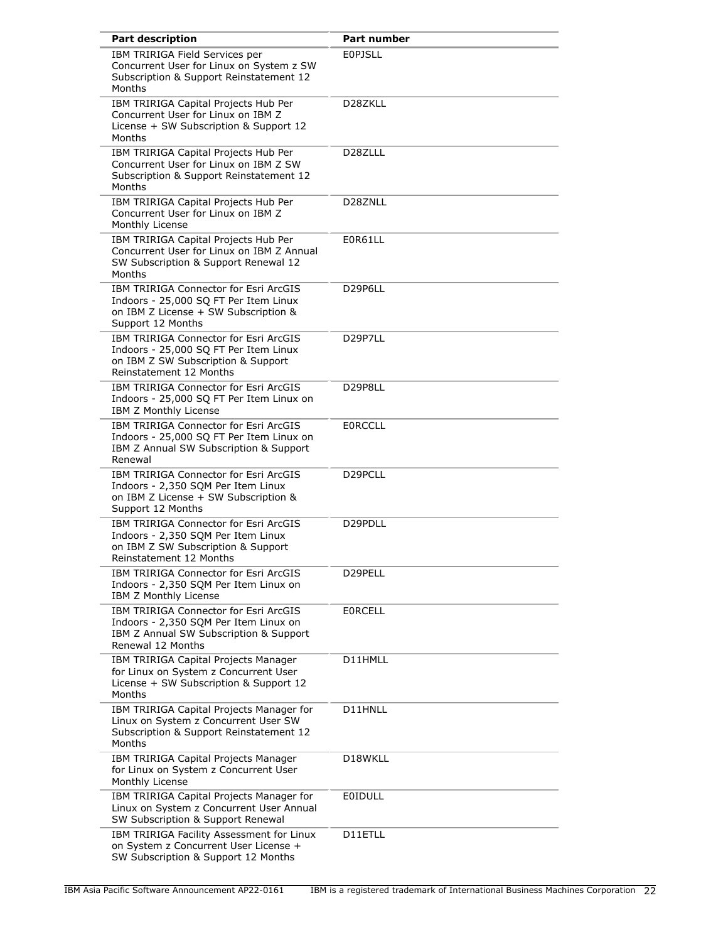| <b>Part description</b>                                                                                                                         | <b>Part number</b>   |
|-------------------------------------------------------------------------------------------------------------------------------------------------|----------------------|
| IBM TRIRIGA Field Services per<br>Concurrent User for Linux on System z SW<br>Subscription & Support Reinstatement 12<br>Months                 | <b>EOPJSLL</b>       |
| IBM TRIRIGA Capital Projects Hub Per<br>Concurrent User for Linux on IBM Z<br>License + SW Subscription & Support 12<br>Months                  | D <sub>28</sub> ZKLL |
| IBM TRIRIGA Capital Projects Hub Per<br>Concurrent User for Linux on IBM Z SW<br>Subscription & Support Reinstatement 12<br>Months              | D <sub>28</sub> ZLLL |
| IBM TRIRIGA Capital Projects Hub Per<br>Concurrent User for Linux on IBM Z<br>Monthly License                                                   | D28ZNLL              |
| IBM TRIRIGA Capital Projects Hub Per<br>Concurrent User for Linux on IBM Z Annual<br>SW Subscription & Support Renewal 12<br>Months             | E0R61LL              |
| IBM TRIRIGA Connector for Esri ArcGIS<br>Indoors - 25,000 SQ FT Per Item Linux<br>on IBM Z License + SW Subscription &<br>Support 12 Months     | D29P6LL              |
| IBM TRIRIGA Connector for Esri ArcGIS<br>Indoors - 25,000 SQ FT Per Item Linux<br>on IBM Z SW Subscription & Support<br>Reinstatement 12 Months | D29P7LL              |
| IBM TRIRIGA Connector for Esri ArcGIS<br>Indoors - 25,000 SQ FT Per Item Linux on<br>IBM Z Monthly License                                      | D29P8LL              |
| IBM TRIRIGA Connector for Esri ArcGIS<br>Indoors - 25,000 SQ FT Per Item Linux on<br>IBM Z Annual SW Subscription & Support<br>Renewal          | <b>EORCCLL</b>       |
| IBM TRIRIGA Connector for Esri ArcGIS<br>Indoors - 2,350 SQM Per Item Linux<br>on IBM Z License + SW Subscription &<br>Support 12 Months        | D <sub>29</sub> PCLL |
| IBM TRIRIGA Connector for Esri ArcGIS<br>Indoors - 2,350 SQM Per Item Linux<br>on IBM Z SW Subscription & Support<br>Reinstatement 12 Months    | D29PDLL              |
| IBM TRIRIGA Connector for Esri ArcGIS<br>Indoors - 2,350 SQM Per Item Linux on<br>IBM Z Monthly License                                         | D29PELL              |
| IBM TRIRIGA Connector for Esri ArcGIS<br>Indoors - 2,350 SQM Per Item Linux on<br>IBM Z Annual SW Subscription & Support<br>Renewal 12 Months   | <b>EORCELL</b>       |
| IBM TRIRIGA Capital Projects Manager<br>for Linux on System z Concurrent User<br>License + SW Subscription & Support 12<br>Months               | D11HMLL              |
| IBM TRIRIGA Capital Projects Manager for<br>Linux on System z Concurrent User SW<br>Subscription & Support Reinstatement 12<br>Months           | D11HNLL              |
| IBM TRIRIGA Capital Projects Manager<br>for Linux on System z Concurrent User<br>Monthly License                                                | D18WKLL              |
| IBM TRIRIGA Capital Projects Manager for<br>Linux on System z Concurrent User Annual<br>SW Subscription & Support Renewal                       | EOIDULL              |
| IBM TRIRIGA Facility Assessment for Linux<br>on System z Concurrent User License +<br>SW Subscription & Support 12 Months                       | D11ETLL              |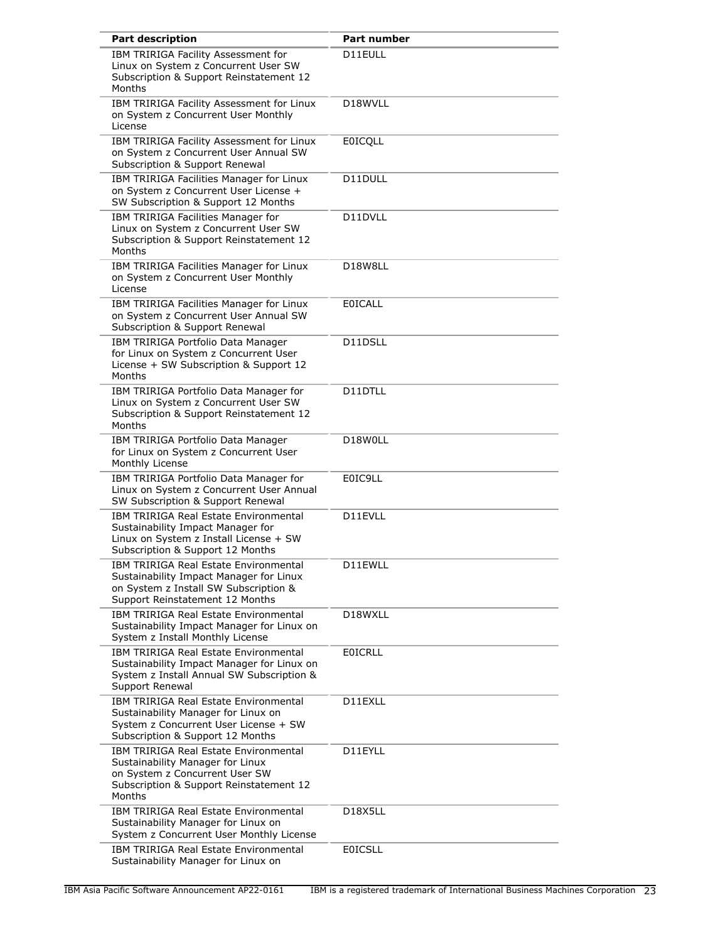| <b>Part description</b>                                                                                                                                          | <b>Part number</b>   |
|------------------------------------------------------------------------------------------------------------------------------------------------------------------|----------------------|
| IBM TRIRIGA Facility Assessment for<br>Linux on System z Concurrent User SW<br>Subscription & Support Reinstatement 12<br>Months                                 | D11EULL              |
| IBM TRIRIGA Facility Assessment for Linux<br>on System z Concurrent User Monthly<br>License                                                                      | D <sub>18</sub> WVLL |
| IBM TRIRIGA Facility Assessment for Linux<br>on System z Concurrent User Annual SW<br>Subscription & Support Renewal                                             | <b>EOICQLL</b>       |
| IBM TRIRIGA Facilities Manager for Linux<br>on System z Concurrent User License +<br>SW Subscription & Support 12 Months                                         | D11DULL              |
| IBM TRIRIGA Facilities Manager for<br>Linux on System z Concurrent User SW<br>Subscription & Support Reinstatement 12<br>Months                                  | D11DVLL              |
| IBM TRIRIGA Facilities Manager for Linux<br>on System z Concurrent User Monthly<br>License                                                                       | D18W8LL              |
| IBM TRIRIGA Facilities Manager for Linux<br>on System z Concurrent User Annual SW<br>Subscription & Support Renewal                                              | <b>EOICALL</b>       |
| IBM TRIRIGA Portfolio Data Manager<br>for Linux on System z Concurrent User<br>License + SW Subscription & Support 12<br>Months                                  | D11DSLL              |
| IBM TRIRIGA Portfolio Data Manager for<br>Linux on System z Concurrent User SW<br>Subscription & Support Reinstatement 12<br>Months                              | D11DTLL              |
| IBM TRIRIGA Portfolio Data Manager<br>for Linux on System z Concurrent User<br>Monthly License                                                                   | D18W0LL              |
| IBM TRIRIGA Portfolio Data Manager for<br>Linux on System z Concurrent User Annual<br>SW Subscription & Support Renewal                                          | E0IC9LL              |
| <b>IBM TRIRIGA Real Estate Environmental</b><br>Sustainability Impact Manager for<br>Linux on System z Install License + SW<br>Subscription & Support 12 Months  | D11EVLL              |
| IBM TRIRIGA Real Estate Environmental<br>Sustainability Impact Manager for Linux<br>on System z Install SW Subscription &<br>Support Reinstatement 12 Months     | D11EWLL              |
| <b>IBM TRIRIGA Real Estate Environmental</b><br>Sustainability Impact Manager for Linux on<br>System z Install Monthly License                                   | D18WXLL              |
| IBM TRIRIGA Real Estate Environmental<br>Sustainability Impact Manager for Linux on<br>System z Install Annual SW Subscription &<br>Support Renewal              | <b>EOICRLL</b>       |
| IBM TRIRIGA Real Estate Environmental<br>Sustainability Manager for Linux on<br>System z Concurrent User License + SW<br>Subscription & Support 12 Months        | D11EXLL              |
| IBM TRIRIGA Real Estate Environmental<br>Sustainability Manager for Linux<br>on System z Concurrent User SW<br>Subscription & Support Reinstatement 12<br>Months | D11EYLL              |
| <b>IBM TRIRIGA Real Estate Environmental</b><br>Sustainability Manager for Linux on<br>System z Concurrent User Monthly License                                  | D18X5LL              |
| IBM TRIRIGA Real Estate Environmental<br>Sustainability Manager for Linux on                                                                                     | <b>EOICSLL</b>       |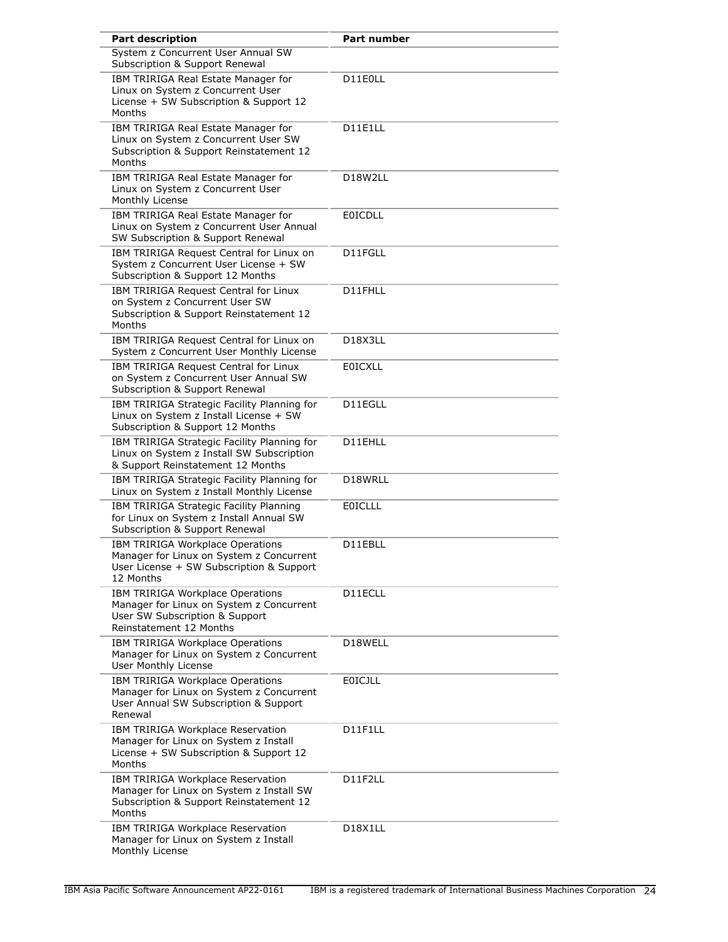| <b>Part description</b>                                                                                                                   | <b>Part number</b>                |
|-------------------------------------------------------------------------------------------------------------------------------------------|-----------------------------------|
| System z Concurrent User Annual SW<br>Subscription & Support Renewal                                                                      |                                   |
| IBM TRIRIGA Real Estate Manager for<br>Linux on System z Concurrent User<br>License + SW Subscription & Support 12<br>Months              | D11E0LL                           |
| IBM TRIRIGA Real Estate Manager for<br>Linux on System z Concurrent User SW<br>Subscription & Support Reinstatement 12<br>Months          | D11E1LL                           |
| IBM TRIRIGA Real Estate Manager for<br>Linux on System z Concurrent User<br>Monthly License                                               | D18W2LL                           |
| IBM TRIRIGA Real Estate Manager for<br>Linux on System z Concurrent User Annual<br>SW Subscription & Support Renewal                      | <b>EOICDLL</b>                    |
| IBM TRIRIGA Request Central for Linux on<br>System z Concurrent User License + SW<br>Subscription & Support 12 Months                     | D11FGLL                           |
| IBM TRIRIGA Request Central for Linux<br>on System z Concurrent User SW<br>Subscription & Support Reinstatement 12<br>Months              | D11FHLL                           |
| IBM TRIRIGA Request Central for Linux on<br>System z Concurrent User Monthly License                                                      | D <sub>18</sub> X <sub>3</sub> LL |
| IBM TRIRIGA Request Central for Linux<br>on System z Concurrent User Annual SW<br>Subscription & Support Renewal                          | <b>EOICXLL</b>                    |
| IBM TRIRIGA Strategic Facility Planning for<br>Linux on System z Install License + SW<br>Subscription & Support 12 Months                 | D11EGLL                           |
| IBM TRIRIGA Strategic Facility Planning for<br>Linux on System z Install SW Subscription<br>& Support Reinstatement 12 Months             | D11EHLL                           |
| IBM TRIRIGA Strategic Facility Planning for<br>Linux on System z Install Monthly License                                                  | D18WRLL                           |
| IBM TRIRIGA Strategic Facility Planning<br>for Linux on System z Install Annual SW<br>Subscription & Support Renewal                      | <b>EOICLLL</b>                    |
| IBM TRIRIGA Workplace Operations<br>Manager for Linux on System z Concurrent<br>User License + SW Subscription & Support<br>12 Months     | D11EBLL                           |
| IBM TRIRIGA Workplace Operations<br>Manager for Linux on System z Concurrent<br>User SW Subscription & Support<br>Reinstatement 12 Months | D11ECLL                           |
| IBM TRIRIGA Workplace Operations<br>Manager for Linux on System z Concurrent<br>User Monthly License                                      | D18WELL                           |
| IBM TRIRIGA Workplace Operations<br>Manager for Linux on System z Concurrent<br>User Annual SW Subscription & Support<br>Renewal          | <b>EOICJLL</b>                    |
| IBM TRIRIGA Workplace Reservation<br>Manager for Linux on System z Install<br>License + SW Subscription & Support 12<br>Months            | D11F1LL                           |
| IBM TRIRIGA Workplace Reservation<br>Manager for Linux on System z Install SW<br>Subscription & Support Reinstatement 12<br>Months        | D11F2LL                           |
| IBM TRIRIGA Workplace Reservation<br>Manager for Linux on System z Install<br>Monthly License                                             | D18X1LL                           |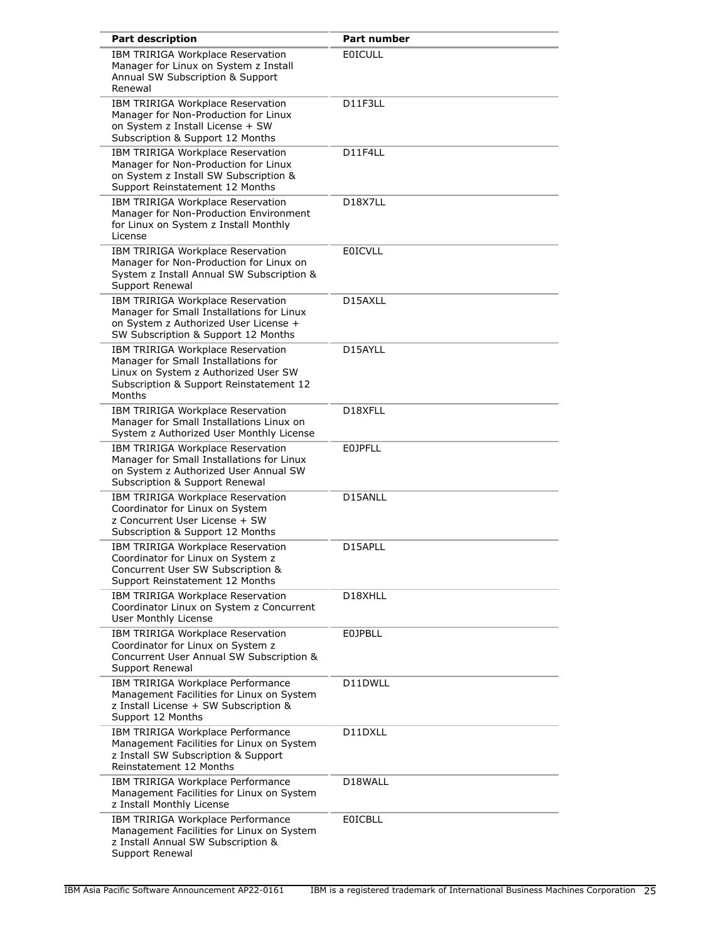| <b>Part description</b>                                                                                                                                               | <b>Part number</b>                |
|-----------------------------------------------------------------------------------------------------------------------------------------------------------------------|-----------------------------------|
| IBM TRIRIGA Workplace Reservation<br>Manager for Linux on System z Install<br>Annual SW Subscription & Support<br>Renewal                                             | <b>EOICULL</b>                    |
| IBM TRIRIGA Workplace Reservation<br>Manager for Non-Production for Linux<br>on System z Install License + SW<br>Subscription & Support 12 Months                     | D11F3LL                           |
| IBM TRIRIGA Workplace Reservation<br>Manager for Non-Production for Linux<br>on System z Install SW Subscription &<br>Support Reinstatement 12 Months                 | D11F4LL                           |
| IBM TRIRIGA Workplace Reservation<br>Manager for Non-Production Environment<br>for Linux on System z Install Monthly<br>License                                       | D <sub>18</sub> X <sub>7</sub> LL |
| IBM TRIRIGA Workplace Reservation<br>Manager for Non-Production for Linux on<br>System z Install Annual SW Subscription &<br>Support Renewal                          | <b>EOICVLL</b>                    |
| IBM TRIRIGA Workplace Reservation<br>Manager for Small Installations for Linux<br>on System z Authorized User License +<br>SW Subscription & Support 12 Months        | D15AXLL                           |
| IBM TRIRIGA Workplace Reservation<br>Manager for Small Installations for<br>Linux on System z Authorized User SW<br>Subscription & Support Reinstatement 12<br>Months | D15AYLL                           |
| IBM TRIRIGA Workplace Reservation<br>Manager for Small Installations Linux on<br>System z Authorized User Monthly License                                             | D18XFLL                           |
| IBM TRIRIGA Workplace Reservation<br>Manager for Small Installations for Linux<br>on System z Authorized User Annual SW<br>Subscription & Support Renewal             | <b>EOJPFLL</b>                    |
| IBM TRIRIGA Workplace Reservation<br>Coordinator for Linux on System<br>z Concurrent User License + SW<br>Subscription & Support 12 Months                            | D15ANLL                           |
| IBM TRIRIGA Workplace Reservation<br>Coordinator for Linux on System z<br>Concurrent User SW Subscription &<br>Support Reinstatement 12 Months                        | D15APLL                           |
| IBM TRIRIGA Workplace Reservation<br>Coordinator Linux on System z Concurrent<br>User Monthly License                                                                 | D18XHLL                           |
| IBM TRIRIGA Workplace Reservation<br>Coordinator for Linux on System z<br>Concurrent User Annual SW Subscription &<br>Support Renewal                                 | <b>E0JPBLL</b>                    |
| IBM TRIRIGA Workplace Performance<br>Management Facilities for Linux on System<br>z Install License + SW Subscription &<br>Support 12 Months                          | D11DWLL                           |
| IBM TRIRIGA Workplace Performance<br>Management Facilities for Linux on System<br>z Install SW Subscription & Support<br>Reinstatement 12 Months                      | D11DXLL                           |
| IBM TRIRIGA Workplace Performance<br>Management Facilities for Linux on System<br>z Install Monthly License                                                           | D18WALL                           |
| IBM TRIRIGA Workplace Performance<br>Management Facilities for Linux on System<br>z Install Annual SW Subscription &<br>Support Renewal                               | EOICBLL                           |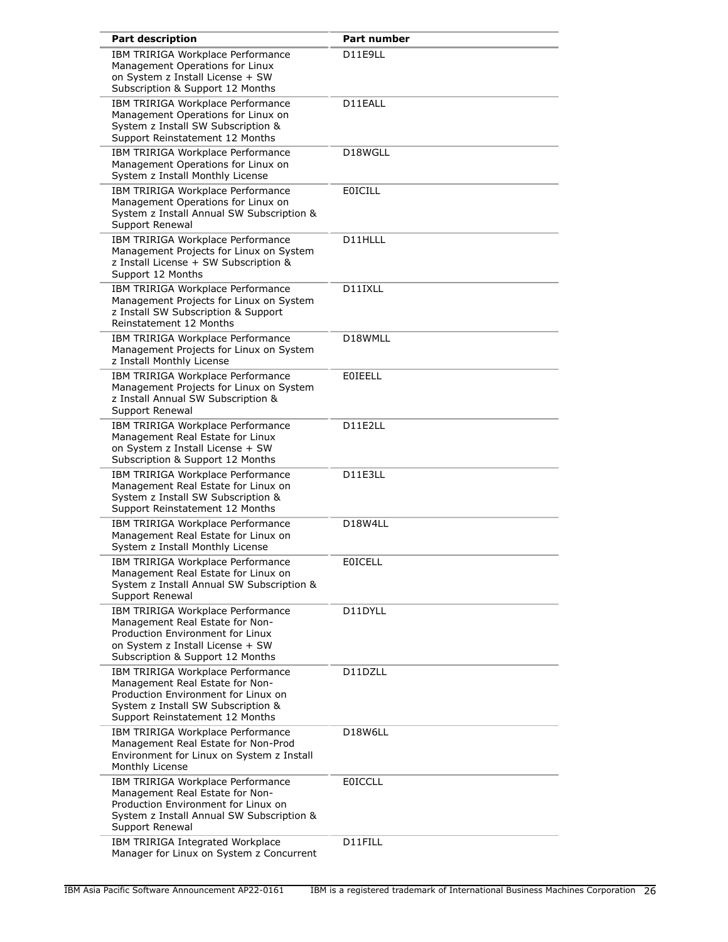| <b>Part description</b>                                                                                                                                                              | Part number    |
|--------------------------------------------------------------------------------------------------------------------------------------------------------------------------------------|----------------|
| IBM TRIRIGA Workplace Performance<br>Management Operations for Linux<br>on System z Install License + SW<br>Subscription & Support 12 Months                                         | D11E9LL        |
| IBM TRIRIGA Workplace Performance<br>Management Operations for Linux on<br>System z Install SW Subscription &<br>Support Reinstatement 12 Months                                     | D11EALL        |
| IBM TRIRIGA Workplace Performance<br>Management Operations for Linux on<br>System z Install Monthly License                                                                          | D18WGLL        |
| IBM TRIRIGA Workplace Performance<br>Management Operations for Linux on<br>System z Install Annual SW Subscription &<br>Support Renewal                                              | <b>EOICILL</b> |
| IBM TRIRIGA Workplace Performance<br>Management Projects for Linux on System<br>z Install License + SW Subscription &<br>Support 12 Months                                           | D11HLLL        |
| IBM TRIRIGA Workplace Performance<br>Management Projects for Linux on System<br>z Install SW Subscription & Support<br>Reinstatement 12 Months                                       | D11IXLL        |
| IBM TRIRIGA Workplace Performance<br>Management Projects for Linux on System<br>z Install Monthly License                                                                            | D18WMLL        |
| IBM TRIRIGA Workplace Performance<br>Management Projects for Linux on System<br>z Install Annual SW Subscription &<br>Support Renewal                                                | <b>EOIEELL</b> |
| IBM TRIRIGA Workplace Performance<br>Management Real Estate for Linux<br>on System z Install License + SW<br>Subscription & Support 12 Months                                        | D11E2LL        |
| IBM TRIRIGA Workplace Performance<br>Management Real Estate for Linux on<br>System z Install SW Subscription &<br>Support Reinstatement 12 Months                                    | D11E3LL        |
| IBM TRIRIGA Workplace Performance<br>Management Real Estate for Linux on<br>System z Install Monthly License                                                                         | D18W4LL        |
| IBM TRIRIGA Workplace Performance<br>Management Real Estate for Linux on<br>System z Install Annual SW Subscription &<br>Support Renewal                                             | <b>EOICELL</b> |
| IBM TRIRIGA Workplace Performance<br>Management Real Estate for Non-<br>Production Environment for Linux<br>on System z Install License + SW<br>Subscription & Support 12 Months     | D11DYLL        |
| IBM TRIRIGA Workplace Performance<br>Management Real Estate for Non-<br>Production Environment for Linux on<br>System z Install SW Subscription &<br>Support Reinstatement 12 Months | D11DZLL        |
| IBM TRIRIGA Workplace Performance<br>Management Real Estate for Non-Prod<br>Environment for Linux on System z Install<br>Monthly License                                             | D18W6LL        |
| IBM TRIRIGA Workplace Performance<br>Management Real Estate for Non-<br>Production Environment for Linux on<br>System z Install Annual SW Subscription &<br>Support Renewal          | <b>EOICCLL</b> |
| IBM TRIRIGA Integrated Workplace<br>Manager for Linux on System z Concurrent                                                                                                         | D11FILL        |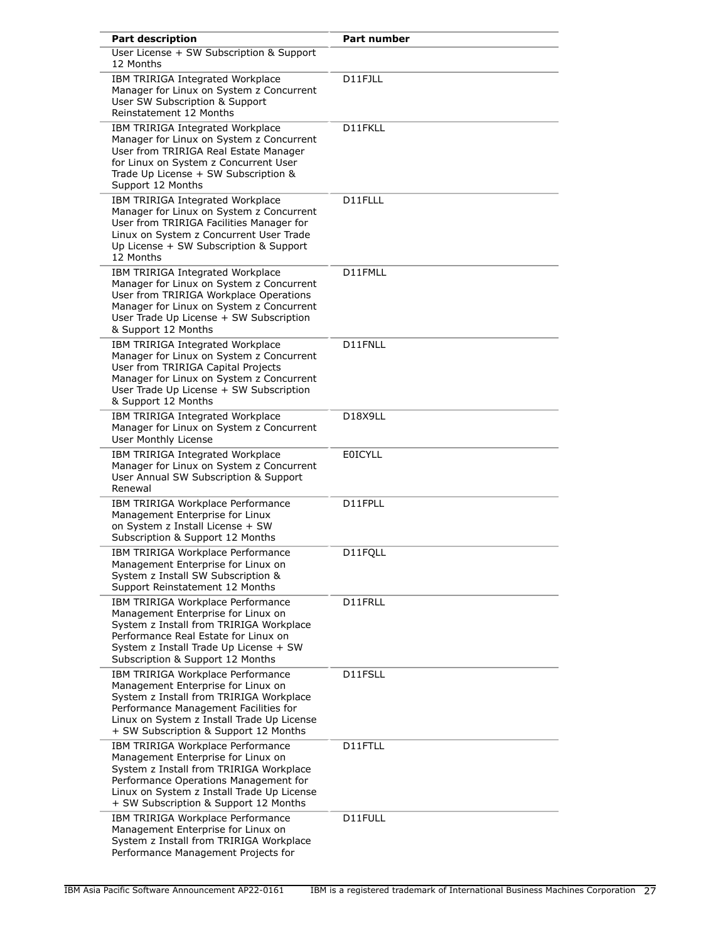| <b>Part description</b>                                                                                                                                                                                                                            | <b>Part number</b> |
|----------------------------------------------------------------------------------------------------------------------------------------------------------------------------------------------------------------------------------------------------|--------------------|
| User License + SW Subscription & Support<br>12 Months                                                                                                                                                                                              |                    |
| IBM TRIRIGA Integrated Workplace<br>Manager for Linux on System z Concurrent<br>User SW Subscription & Support<br>Reinstatement 12 Months                                                                                                          | D11FJLL            |
| IBM TRIRIGA Integrated Workplace<br>Manager for Linux on System z Concurrent<br>User from TRIRIGA Real Estate Manager<br>for Linux on System z Concurrent User<br>Trade Up License + SW Subscription &<br>Support 12 Months                        | D11FKLL            |
| IBM TRIRIGA Integrated Workplace<br>Manager for Linux on System z Concurrent<br>User from TRIRIGA Facilities Manager for<br>Linux on System z Concurrent User Trade<br>Up License + SW Subscription & Support<br>12 Months                         | D11FLLL            |
| IBM TRIRIGA Integrated Workplace<br>Manager for Linux on System z Concurrent<br>User from TRIRIGA Workplace Operations<br>Manager for Linux on System z Concurrent<br>User Trade Up License + SW Subscription<br>& Support 12 Months               | D11FMLL            |
| IBM TRIRIGA Integrated Workplace<br>Manager for Linux on System z Concurrent<br>User from TRIRIGA Capital Projects<br>Manager for Linux on System z Concurrent<br>User Trade Up License + SW Subscription<br>& Support 12 Months                   | D11FNLL            |
| IBM TRIRIGA Integrated Workplace<br>Manager for Linux on System z Concurrent<br>User Monthly License                                                                                                                                               | D18X9LL            |
| IBM TRIRIGA Integrated Workplace<br>Manager for Linux on System z Concurrent<br>User Annual SW Subscription & Support<br>Renewal                                                                                                                   | <b>EOICYLL</b>     |
| IBM TRIRIGA Workplace Performance<br>Management Enterprise for Linux<br>on System z Install License + SW<br>Subscription & Support 12 Months                                                                                                       | D11FPLL            |
| IBM TRIRIGA Workplace Performance<br>Management Enterprise for Linux on<br>System z Install SW Subscription &<br>Support Reinstatement 12 Months                                                                                                   | D11FOLL            |
| IBM TRIRIGA Workplace Performance<br>Management Enterprise for Linux on<br>System z Install from TRIRIGA Workplace<br>Performance Real Estate for Linux on<br>System z Install Trade Up License + SW<br>Subscription & Support 12 Months           | D11FRLL            |
| IBM TRIRIGA Workplace Performance<br>Management Enterprise for Linux on<br>System z Install from TRIRIGA Workplace<br>Performance Management Facilities for<br>Linux on System z Install Trade Up License<br>+ SW Subscription & Support 12 Months | D11FSLL            |
| IBM TRIRIGA Workplace Performance<br>Management Enterprise for Linux on<br>System z Install from TRIRIGA Workplace<br>Performance Operations Management for<br>Linux on System z Install Trade Up License<br>+ SW Subscription & Support 12 Months | D11FTLL            |
| IBM TRIRIGA Workplace Performance<br>Management Enterprise for Linux on<br>System z Install from TRIRIGA Workplace<br>Performance Management Projects for                                                                                          | D11FULL            |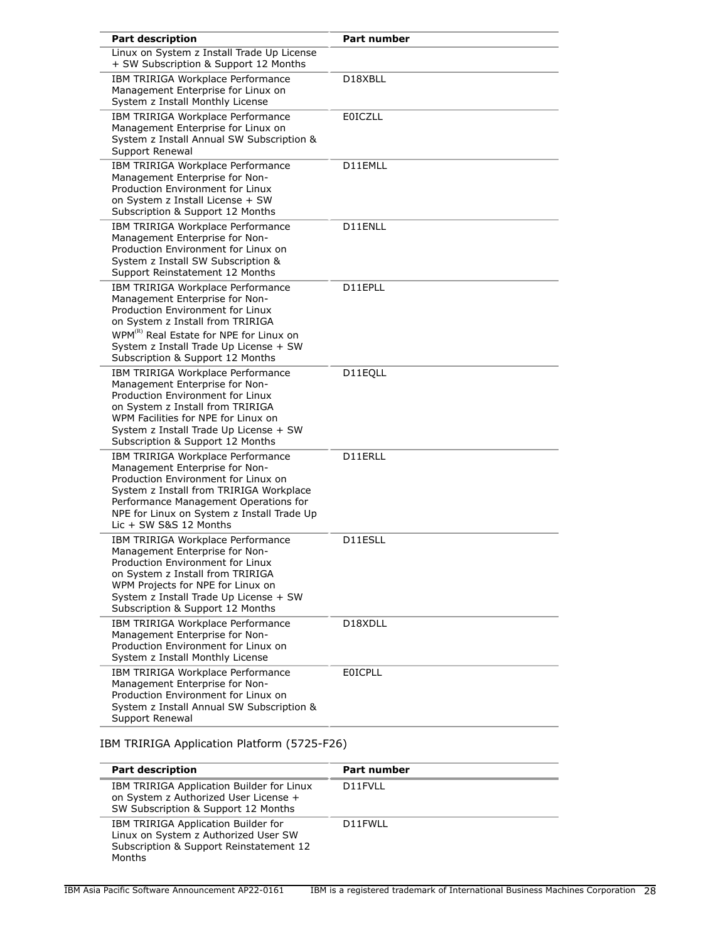| <b>Part description</b>                                                                                                                                                                                                                                                          | <b>Part number</b> |
|----------------------------------------------------------------------------------------------------------------------------------------------------------------------------------------------------------------------------------------------------------------------------------|--------------------|
| Linux on System z Install Trade Up License<br>+ SW Subscription & Support 12 Months                                                                                                                                                                                              |                    |
| IBM TRIRIGA Workplace Performance<br>Management Enterprise for Linux on<br>System z Install Monthly License                                                                                                                                                                      | D18XBLL            |
| IBM TRIRIGA Workplace Performance<br>Management Enterprise for Linux on<br>System z Install Annual SW Subscription &<br>Support Renewal                                                                                                                                          | <b>E0ICZLL</b>     |
| IBM TRIRIGA Workplace Performance<br>Management Enterprise for Non-<br>Production Environment for Linux<br>on System z Install License + SW<br>Subscription & Support 12 Months                                                                                                  | D11EMLL            |
| IBM TRIRIGA Workplace Performance<br>Management Enterprise for Non-<br>Production Environment for Linux on<br>System z Install SW Subscription &<br>Support Reinstatement 12 Months                                                                                              | D11ENLL            |
| IBM TRIRIGA Workplace Performance<br>Management Enterprise for Non-<br>Production Environment for Linux<br>on System z Install from TRIRIGA<br>WPM <sup>(R)</sup> Real Estate for NPE for Linux on<br>System z Install Trade Up License + SW<br>Subscription & Support 12 Months | D11EPLL            |
| IBM TRIRIGA Workplace Performance<br>Management Enterprise for Non-<br>Production Environment for Linux<br>on System z Install from TRIRIGA<br>WPM Facilities for NPE for Linux on<br>System z Install Trade Up License + SW<br>Subscription & Support 12 Months                 | D11EQLL            |
| IBM TRIRIGA Workplace Performance<br>Management Enterprise for Non-<br>Production Environment for Linux on<br>System z Install from TRIRIGA Workplace<br>Performance Management Operations for<br>NPE for Linux on System z Install Trade Up<br>Lic + SW S&S 12 Months           | D11ERLL            |
| IBM TRIRIGA Workplace Performance<br>Management Enterprise for Non-<br>Production Environment for Linux<br>on System z Install from TRIRIGA<br>WPM Projects for NPE for Linux on<br>System z Install Trade Up License + SW<br>Subscription & Support 12 Months                   | D11ESLL            |
| IBM TRIRIGA Workplace Performance<br>Management Enterprise for Non-<br>Production Environment for Linux on<br>System z Install Monthly License                                                                                                                                   | D18XDLL            |
| IBM TRIRIGA Workplace Performance<br>Management Enterprise for Non-<br>Production Environment for Linux on<br>System z Install Annual SW Subscription &<br>Support Renewal                                                                                                       | <b>EOICPLL</b>     |

IBM TRIRIGA Application Platform (5725-F26)

| <b>Part description</b>                                                                                                          | <b>Part number</b> |
|----------------------------------------------------------------------------------------------------------------------------------|--------------------|
| IBM TRIRIGA Application Builder for Linux<br>on System z Authorized User License +<br>SW Subscription & Support 12 Months        | D11FVLL            |
| IBM TRIRIGA Application Builder for<br>Linux on System z Authorized User SW<br>Subscription & Support Reinstatement 12<br>Months | D11FWLL            |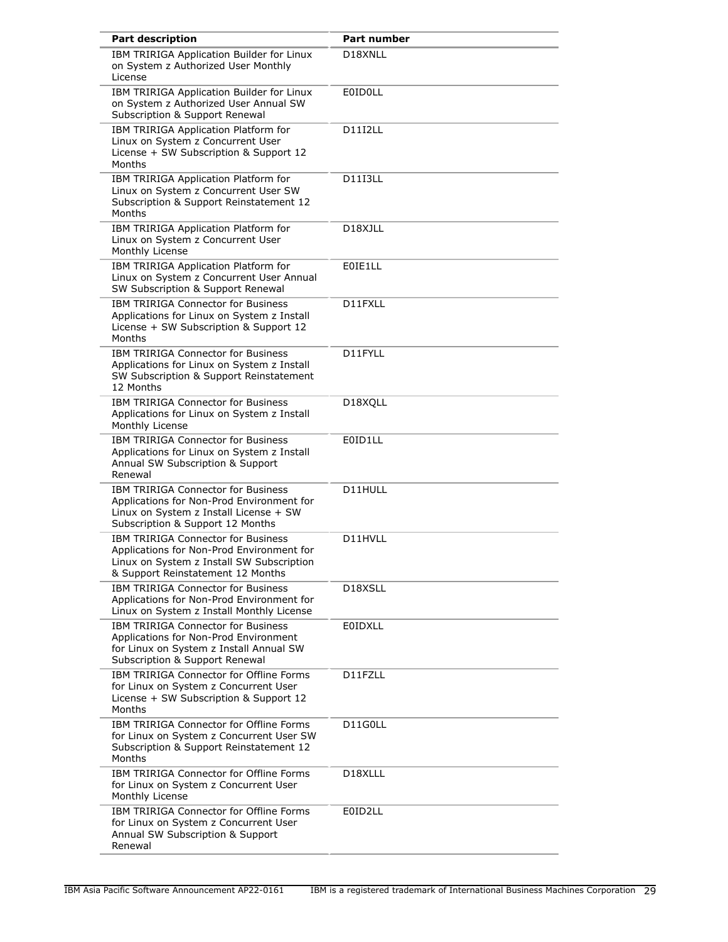| <b>Part description</b>                                                                                                                                                  | <b>Part number</b>   |
|--------------------------------------------------------------------------------------------------------------------------------------------------------------------------|----------------------|
| IBM TRIRIGA Application Builder for Linux<br>on System z Authorized User Monthly<br>License                                                                              | D18XNLL              |
| IBM TRIRIGA Application Builder for Linux<br>on System z Authorized User Annual SW<br>Subscription & Support Renewal                                                     | <b>E0ID0LL</b>       |
| IBM TRIRIGA Application Platform for<br>Linux on System z Concurrent User<br>License + SW Subscription & Support 12<br>Months                                            | D11I2LL              |
| IBM TRIRIGA Application Platform for<br>Linux on System z Concurrent User SW<br>Subscription & Support Reinstatement 12<br>Months                                        | <b>D11I3LL</b>       |
| IBM TRIRIGA Application Platform for<br>Linux on System z Concurrent User<br>Monthly License                                                                             | D18XJLL              |
| IBM TRIRIGA Application Platform for<br>Linux on System z Concurrent User Annual<br>SW Subscription & Support Renewal                                                    | E0IE1LL              |
| <b>IBM TRIRIGA Connector for Business</b><br>Applications for Linux on System z Install<br>License + SW Subscription & Support 12<br>Months                              | D11FXLL              |
| <b>IBM TRIRIGA Connector for Business</b><br>Applications for Linux on System z Install<br>SW Subscription & Support Reinstatement<br>12 Months                          | D11FYLL              |
| <b>IBM TRIRIGA Connector for Business</b><br>Applications for Linux on System z Install<br>Monthly License                                                               | D18XQLL              |
| <b>IBM TRIRIGA Connector for Business</b><br>Applications for Linux on System z Install<br>Annual SW Subscription & Support<br>Renewal                                   | E0ID1LL              |
| <b>IBM TRIRIGA Connector for Business</b><br>Applications for Non-Prod Environment for<br>Linux on System z Install License + SW<br>Subscription & Support 12 Months     | D11HULL              |
| <b>IBM TRIRIGA Connector for Business</b><br>Applications for Non-Prod Environment for<br>Linux on System z Install SW Subscription<br>& Support Reinstatement 12 Months | D11HVLL              |
| IBM TRIRIGA Connector for Business<br>Applications for Non-Prod Environment for<br>Linux on System z Install Monthly License                                             | D18XSLL              |
| <b>IBM TRIRIGA Connector for Business</b><br>Applications for Non-Prod Environment<br>for Linux on System z Install Annual SW<br>Subscription & Support Renewal          | <b>E0IDXLL</b>       |
| IBM TRIRIGA Connector for Offline Forms<br>for Linux on System z Concurrent User<br>License + SW Subscription & Support 12<br>Months                                     | D11FZLL              |
| IBM TRIRIGA Connector for Offline Forms<br>for Linux on System z Concurrent User SW<br>Subscription & Support Reinstatement 12<br>Months                                 | D11G0LL              |
| IBM TRIRIGA Connector for Offline Forms<br>for Linux on System z Concurrent User<br>Monthly License                                                                      | D <sub>18</sub> XLLL |
| IBM TRIRIGA Connector for Offline Forms<br>for Linux on System z Concurrent User<br>Annual SW Subscription & Support<br>Renewal                                          | E0ID2LL              |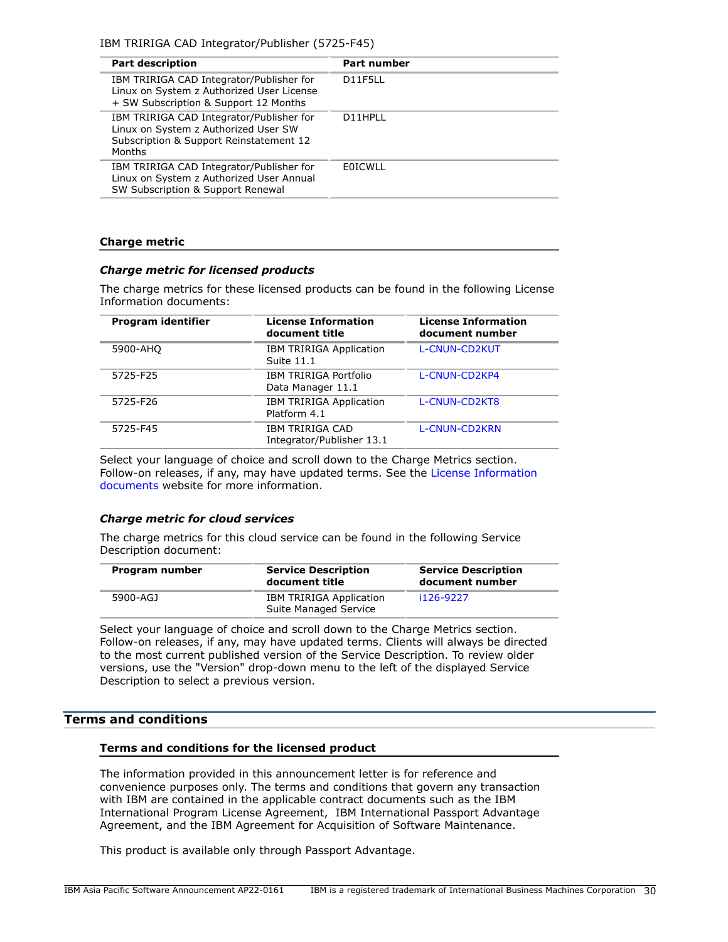IBM TRIRIGA CAD Integrator/Publisher (5725-F45)

| <b>Part description</b>                                                                                                                      | <b>Part number</b> |
|----------------------------------------------------------------------------------------------------------------------------------------------|--------------------|
| IBM TRIRIGA CAD Integrator/Publisher for<br>Linux on System z Authorized User License<br>+ SW Subscription & Support 12 Months               | D11F5LL            |
| IBM TRIRIGA CAD Integrator/Publisher for<br>Linux on System z Authorized User SW<br>Subscription & Support Reinstatement 12<br><b>Months</b> | D11HPLL            |
| IBM TRIRIGA CAD Integrator/Publisher for<br>Linux on System z Authorized User Annual<br>SW Subscription & Support Renewal                    | <b>FOICWLL</b>     |

# **Charge metric**

## *Charge metric for licensed products*

The charge metrics for these licensed products can be found in the following License Information documents:

| Program identifier | <b>License Information</b><br>document title   | <b>License Information</b><br>document number |
|--------------------|------------------------------------------------|-----------------------------------------------|
| 5900-AHQ           | <b>IBM TRIRIGA Application</b><br>Suite 11.1   | <b>L-CNUN-CD2KUT</b>                          |
| 5725-F25           | IBM TRIRIGA Portfolio<br>Data Manager 11.1     | L-CNUN-CD2KP4                                 |
| 5725-F26           | <b>IBM TRIRIGA Application</b><br>Platform 4.1 | L-CNUN-CD2KT8                                 |
| 5725-F45           | IBM TRIRIGA CAD<br>Integrator/Publisher 13.1   | L-CNUN-CD2KRN                                 |

Select your language of choice and scroll down to the Charge Metrics section. Follow-on releases, if any, may have updated terms. See the [License Information](https://www.ibm.com/software/sla/sladb.nsf/search?OpenForm) [documents](https://www.ibm.com/software/sla/sladb.nsf/search?OpenForm) website for more information.

# *Charge metric for cloud services*

The charge metrics for this cloud service can be found in the following Service Description document:

| Program number | <b>Service Description</b><br>document title            | <b>Service Description</b><br>document number |
|----------------|---------------------------------------------------------|-----------------------------------------------|
| 5900-AGJ       | <b>IBM TRIRIGA Application</b><br>Suite Managed Service | i126-9227                                     |

Select your language of choice and scroll down to the Charge Metrics section. Follow-on releases, if any, may have updated terms. Clients will always be directed to the most current published version of the Service Description. To review older versions, use the "Version" drop-down menu to the left of the displayed Service Description to select a previous version.

# <span id="page-29-0"></span>**Terms and conditions**

## **Terms and conditions for the licensed product**

The information provided in this announcement letter is for reference and convenience purposes only. The terms and conditions that govern any transaction with IBM are contained in the applicable contract documents such as the IBM International Program License Agreement, IBM International Passport Advantage Agreement, and the IBM Agreement for Acquisition of Software Maintenance.

This product is available only through Passport Advantage.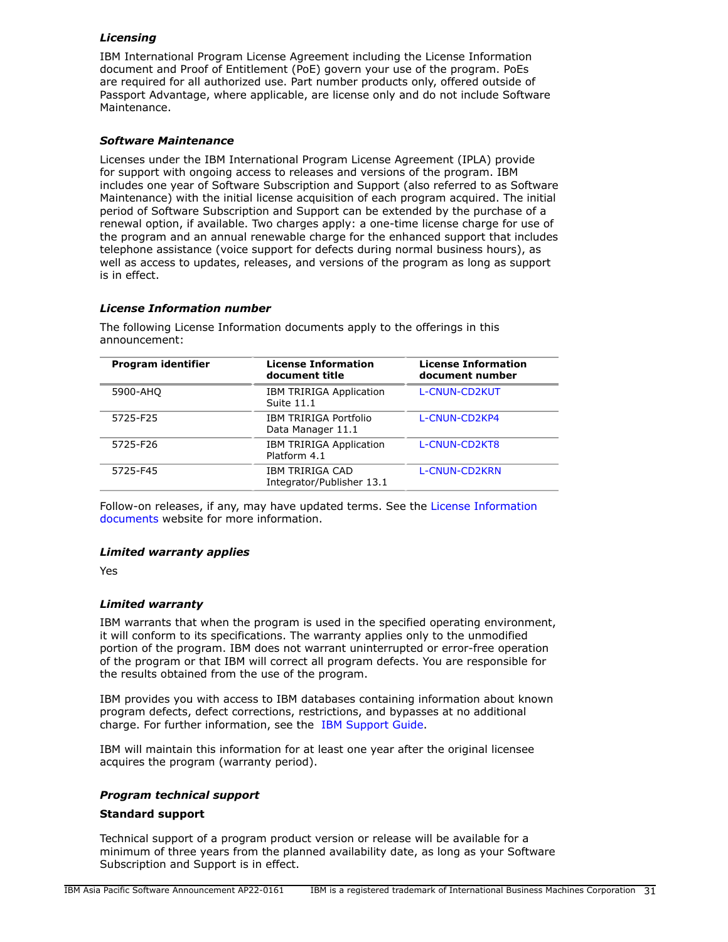# *Licensing*

IBM International Program License Agreement including the License Information document and Proof of Entitlement (PoE) govern your use of the program. PoEs are required for all authorized use. Part number products only, offered outside of Passport Advantage, where applicable, are license only and do not include Software Maintenance.

## *Software Maintenance*

Licenses under the IBM International Program License Agreement (IPLA) provide for support with ongoing access to releases and versions of the program. IBM includes one year of Software Subscription and Support (also referred to as Software Maintenance) with the initial license acquisition of each program acquired. The initial period of Software Subscription and Support can be extended by the purchase of a renewal option, if available. Two charges apply: a one-time license charge for use of the program and an annual renewable charge for the enhanced support that includes telephone assistance (voice support for defects during normal business hours), as well as access to updates, releases, and versions of the program as long as support is in effect.

# *License Information number*

The following License Information documents apply to the offerings in this announcement:

| <b>Program identifier</b> | <b>License Information</b><br>document title   | <b>License Information</b><br>document number |
|---------------------------|------------------------------------------------|-----------------------------------------------|
| 5900-AHQ                  | <b>IBM TRIRIGA Application</b><br>Suite 11.1   | <b>L-CNUN-CD2KUT</b>                          |
| 5725-F25                  | IBM TRIRIGA Portfolio<br>Data Manager 11.1     | L-CNUN-CD2KP4                                 |
| 5725-F26                  | <b>IBM TRIRIGA Application</b><br>Platform 4.1 | L-CNUN-CD2KT8                                 |
| 5725-F45                  | IBM TRIRIGA CAD<br>Integrator/Publisher 13.1   | L-CNUN-CD2KRN                                 |

Follow-on releases, if any, may have updated terms. See the [License Information](https://www.ibm.com/software/sla/sladb.nsf/search?OpenForm) [documents](https://www.ibm.com/software/sla/sladb.nsf/search?OpenForm) website for more information.

# *Limited warranty applies*

Yes

# *Limited warranty*

IBM warrants that when the program is used in the specified operating environment, it will conform to its specifications. The warranty applies only to the unmodified portion of the program. IBM does not warrant uninterrupted or error-free operation of the program or that IBM will correct all program defects. You are responsible for the results obtained from the use of the program.

IBM provides you with access to IBM databases containing information about known program defects, defect corrections, restrictions, and bypasses at no additional charge. For further information, see the [IBM Support Guide](http://www.ibm.com/support/customercare/sas/f/handbook/home.html).

IBM will maintain this information for at least one year after the original licensee acquires the program (warranty period).

# *Program technical support*

## **Standard support**

Technical support of a program product version or release will be available for a minimum of three years from the planned availability date, as long as your Software Subscription and Support is in effect.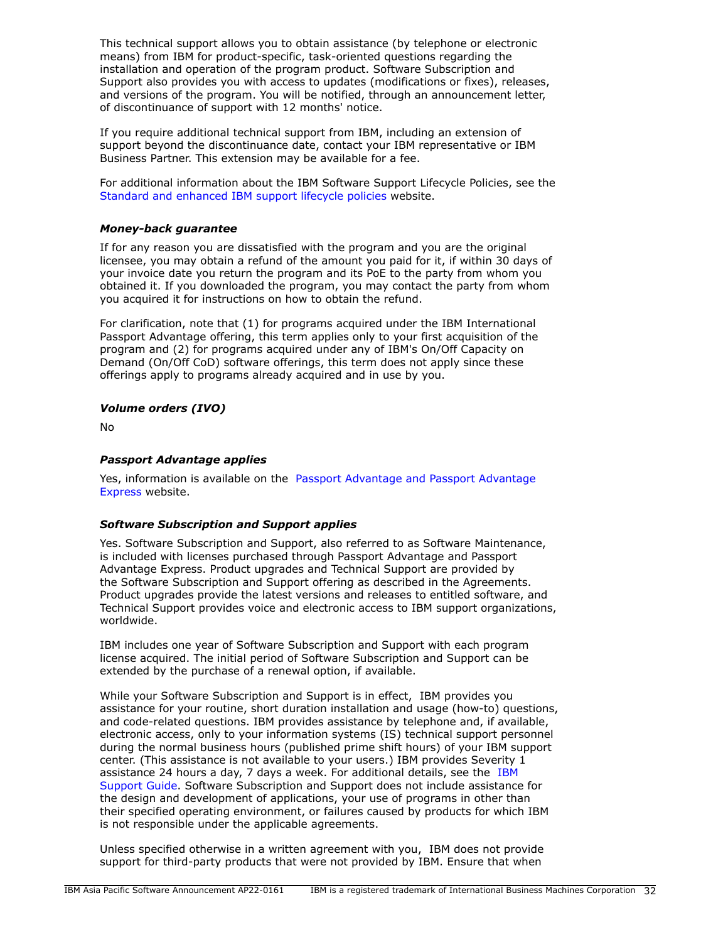This technical support allows you to obtain assistance (by telephone or electronic means) from IBM for product-specific, task-oriented questions regarding the installation and operation of the program product. Software Subscription and Support also provides you with access to updates (modifications or fixes), releases, and versions of the program. You will be notified, through an announcement letter, of discontinuance of support with 12 months' notice.

If you require additional technical support from IBM, including an extension of support beyond the discontinuance date, contact your IBM representative or IBM Business Partner. This extension may be available for a fee.

For additional information about the IBM Software Support Lifecycle Policies, see the [Standard and enhanced IBM support lifecycle policies](http://www.ibm.com/software/support/lifecycle/lc-policy.html) website.

# *Money-back guarantee*

If for any reason you are dissatisfied with the program and you are the original licensee, you may obtain a refund of the amount you paid for it, if within 30 days of your invoice date you return the program and its PoE to the party from whom you obtained it. If you downloaded the program, you may contact the party from whom you acquired it for instructions on how to obtain the refund.

For clarification, note that (1) for programs acquired under the IBM International Passport Advantage offering, this term applies only to your first acquisition of the program and (2) for programs acquired under any of IBM's On/Off Capacity on Demand (On/Off CoD) software offerings, this term does not apply since these offerings apply to programs already acquired and in use by you.

# *Volume orders (IVO)*

No

# *Passport Advantage applies*

Yes, information is available on the [Passport Advantage and Passport Advantage](http://www.ibm.com/software/passportadvantage) [Express](http://www.ibm.com/software/passportadvantage) website.

## *Software Subscription and Support applies*

Yes. Software Subscription and Support, also referred to as Software Maintenance, is included with licenses purchased through Passport Advantage and Passport Advantage Express. Product upgrades and Technical Support are provided by the Software Subscription and Support offering as described in the Agreements. Product upgrades provide the latest versions and releases to entitled software, and Technical Support provides voice and electronic access to IBM support organizations, worldwide.

IBM includes one year of Software Subscription and Support with each program license acquired. The initial period of Software Subscription and Support can be extended by the purchase of a renewal option, if available.

While your Software Subscription and Support is in effect, IBM provides you assistance for your routine, short duration installation and usage (how-to) questions, and code-related questions. IBM provides assistance by telephone and, if available, electronic access, only to your information systems (IS) technical support personnel during the normal business hours (published prime shift hours) of your IBM support center. (This assistance is not available to your users.) IBM provides Severity 1 assistance 24 hours a day, 7 days a week. For additional details, see the [IBM](http://www.ibm.com/support/customercare/sas/f/handbook/home.html) [Support Guide](http://www.ibm.com/support/customercare/sas/f/handbook/home.html). Software Subscription and Support does not include assistance for the design and development of applications, your use of programs in other than their specified operating environment, or failures caused by products for which IBM is not responsible under the applicable agreements.

Unless specified otherwise in a written agreement with you, IBM does not provide support for third-party products that were not provided by IBM. Ensure that when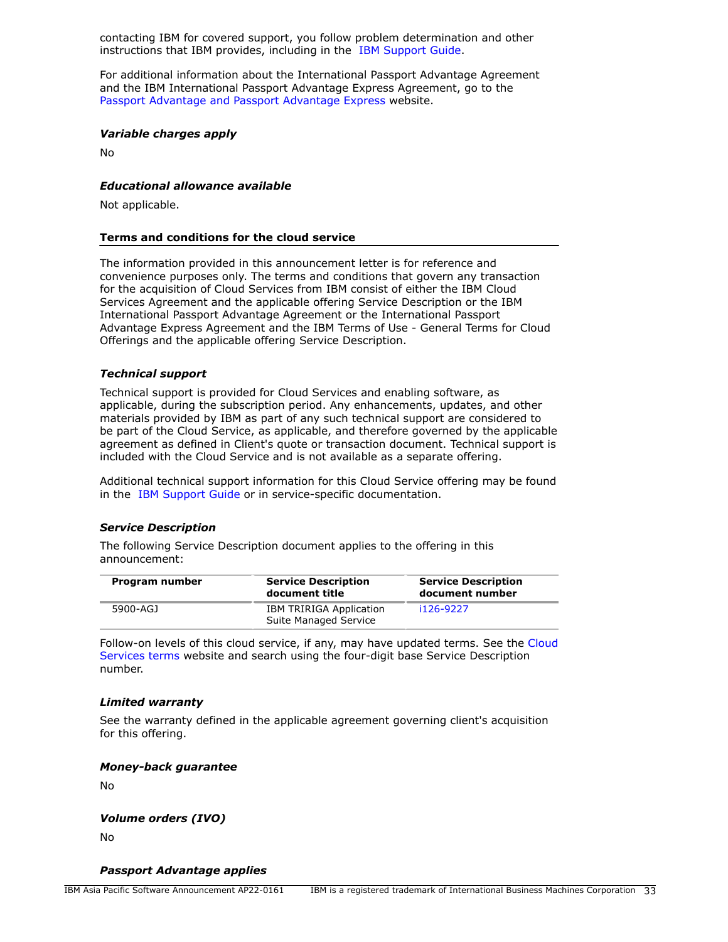contacting IBM for covered support, you follow problem determination and other instructions that IBM provides, including in the [IBM Support Guide.](http://www.ibm.com/support/customercare/sas/f/handbook/home.html)

For additional information about the International Passport Advantage Agreement and the IBM International Passport Advantage Express Agreement, go to the [Passport Advantage and Passport Advantage Express](http://www.ibm.com/software/passportadvantage) website.

### *Variable charges apply*

No

## *Educational allowance available*

Not applicable.

### **Terms and conditions for the cloud service**

The information provided in this announcement letter is for reference and convenience purposes only. The terms and conditions that govern any transaction for the acquisition of Cloud Services from IBM consist of either the IBM Cloud Services Agreement and the applicable offering Service Description or the IBM International Passport Advantage Agreement or the International Passport Advantage Express Agreement and the IBM Terms of Use - General Terms for Cloud Offerings and the applicable offering Service Description.

# *Technical support*

Technical support is provided for Cloud Services and enabling software, as applicable, during the subscription period. Any enhancements, updates, and other materials provided by IBM as part of any such technical support are considered to be part of the Cloud Service, as applicable, and therefore governed by the applicable agreement as defined in Client's quote or transaction document. Technical support is included with the Cloud Service and is not available as a separate offering.

Additional technical support information for this Cloud Service offering may be found in the [IBM Support Guide](http://www.ibm.com/support/customercare/sas/f/handbook/home.html) or in service-specific documentation.

### *Service Description*

The following Service Description document applies to the offering in this announcement:

| Program number | <b>Service Description</b><br>document title            | <b>Service Description</b><br>document number |
|----------------|---------------------------------------------------------|-----------------------------------------------|
| 5900-AGJ       | <b>IBM TRIRIGA Application</b><br>Suite Managed Service | i126-9227                                     |

Follow-on levels of this cloud service, if any, may have updated terms. See the [Cloud](https://www.ibm.com/support/customer/csol/terms/) [Services terms](https://www.ibm.com/support/customer/csol/terms/) website and search using the four-digit base Service Description number.

### *Limited warranty*

See the warranty defined in the applicable agreement governing client's acquisition for this offering.

### *Money-back guarantee*

No

## *Volume orders (IVO)*

No

*Passport Advantage applies*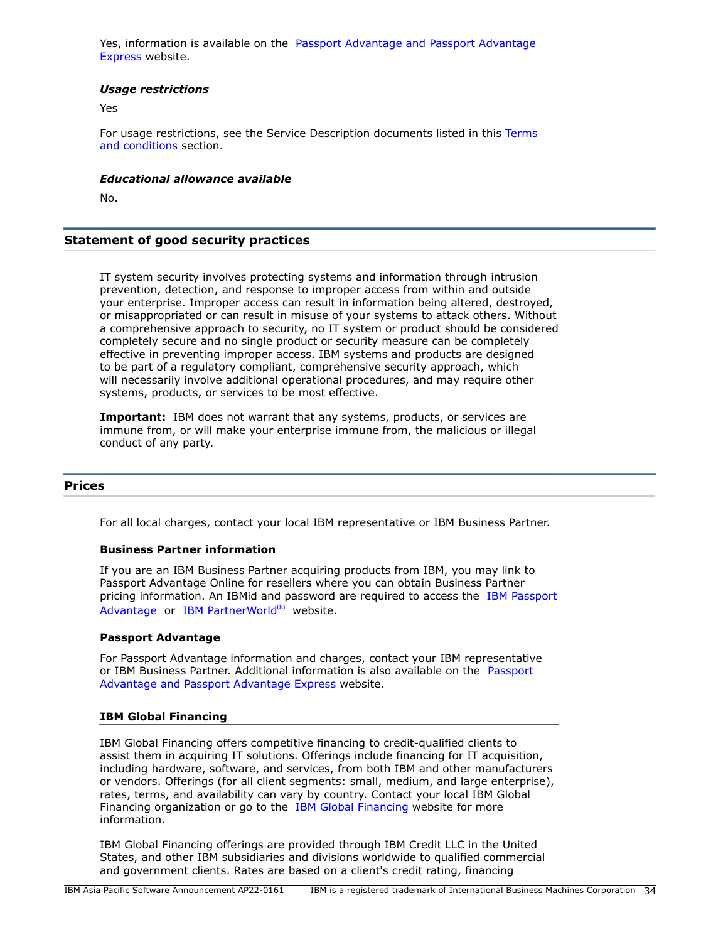Yes, information is available on the [Passport Advantage and Passport Advantage](http://www.ibm.com/software/passportadvantage) [Express](http://www.ibm.com/software/passportadvantage) website.

## *Usage restrictions*

Yes

For usage restrictions, see the Service Description documents listed in this [Terms](#page-29-0) [and conditions](#page-29-0) section.

#### *Educational allowance available*

No.

## **Statement of good security practices**

IT system security involves protecting systems and information through intrusion prevention, detection, and response to improper access from within and outside your enterprise. Improper access can result in information being altered, destroyed, or misappropriated or can result in misuse of your systems to attack others. Without a comprehensive approach to security, no IT system or product should be considered completely secure and no single product or security measure can be completely effective in preventing improper access. IBM systems and products are designed to be part of a regulatory compliant, comprehensive security approach, which will necessarily involve additional operational procedures, and may require other systems, products, or services to be most effective.

**Important:** IBM does not warrant that any systems, products, or services are immune from, or will make your enterprise immune from, the malicious or illegal conduct of any party.

## <span id="page-33-0"></span>**Prices**

For all local charges, contact your local IBM representative or IBM Business Partner.

#### **Business Partner information**

If you are an IBM Business Partner acquiring products from IBM, you may link to Passport Advantage Online for resellers where you can obtain Business Partner pricing information. An IBMid and password are required to access the [IBM Passport](https://www.ibm.com/software/passportadvantage/pao_reseller.html) [Advantage](https://www.ibm.com/software/passportadvantage/pao_reseller.html) or [IBM PartnerWorld](https://www.ibm.com/partnerworld/resources/sell) $(R)$  website.

### **Passport Advantage**

For Passport Advantage information and charges, contact your IBM representative or IBM Business Partner. Additional information is also available on the [Passport](http://www.ibm.com/software/passportadvantage) [Advantage and Passport Advantage Express](http://www.ibm.com/software/passportadvantage) website.

### **IBM Global Financing**

IBM Global Financing offers competitive financing to credit-qualified clients to assist them in acquiring IT solutions. Offerings include financing for IT acquisition, including hardware, software, and services, from both IBM and other manufacturers or vendors. Offerings (for all client segments: small, medium, and large enterprise), rates, terms, and availability can vary by country. Contact your local IBM Global Financing organization or go to the [IBM Global Financing](http://www.ibm.com/financing) website for more information.

IBM Global Financing offerings are provided through IBM Credit LLC in the United States, and other IBM subsidiaries and divisions worldwide to qualified commercial and government clients. Rates are based on a client's credit rating, financing